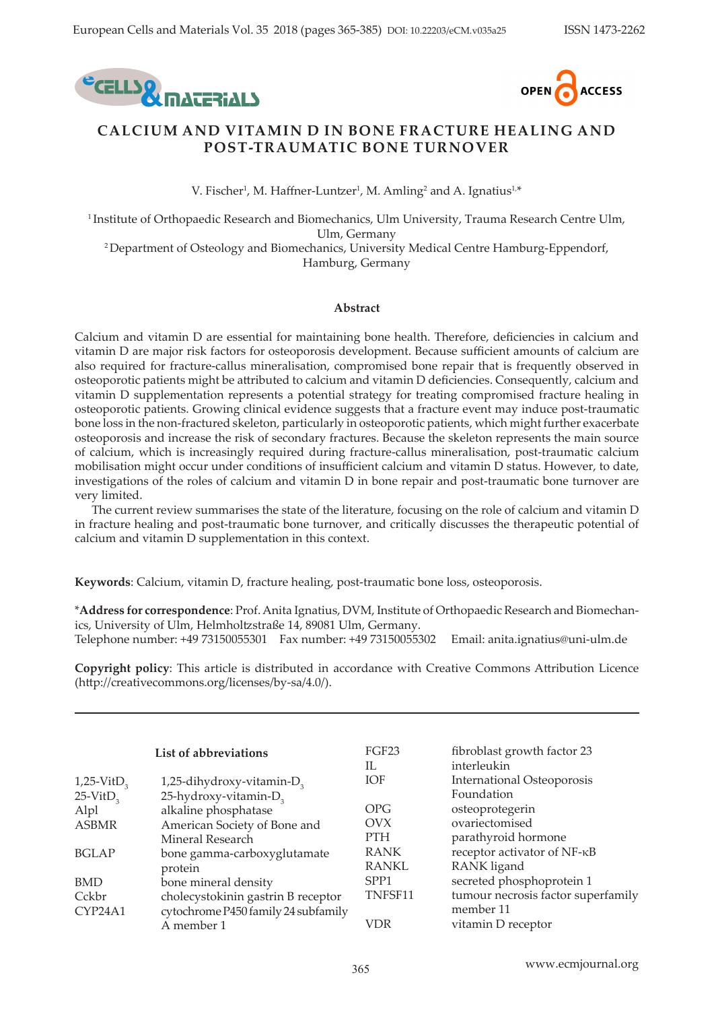



# **CALCIUM AND VITAMIN D IN BONE FRACTURE HEALING AND POST-TRAUMATIC BONE TURNOVER**

V. Fischer<sup>1</sup>, M. Haffner-Luntzer<sup>1</sup>, M. Amling<sup>2</sup> and A. Ignatius<sup>1,\*</sup>

<sup>1</sup> Institute of Orthopaedic Research and Biomechanics, Ulm University, Trauma Research Centre Ulm, Ulm, Germany 2 Department of Osteology and Biomechanics, University Medical Centre Hamburg-Eppendorf, Hamburg, Germany

#### **Abstract**

Calcium and vitamin D are essential for maintaining bone health. Therefore, deficiencies in calcium and vitamin D are major risk factors for osteoporosis development. Because sufficient amounts of calcium are also required for fracture-callus mineralisation, compromised bone repair that is frequently observed in osteoporotic patients might be attributed to calcium and vitamin D deficiencies. Consequently, calcium and vitamin D supplementation represents a potential strategy for treating compromised fracture healing in osteoporotic patients. Growing clinical evidence suggests that a fracture event may induce post-traumatic bone loss in the non-fractured skeleton, particularly in osteoporotic patients, which might further exacerbate osteoporosis and increase the risk of secondary fractures. Because the skeleton represents the main source of calcium, which is increasingly required during fracture-callus mineralisation, post-traumatic calcium mobilisation might occur under conditions of insufficient calcium and vitamin D status. However, to date, investigations of the roles of calcium and vitamin D in bone repair and post-traumatic bone turnover are very limited.

The current review summarises the state of the literature, focusing on the role of calcium and vitamin D in fracture healing and post-traumatic bone turnover, and critically discusses the therapeutic potential of calcium and vitamin D supplementation in this context.

**Keywords**: Calcium, vitamin D, fracture healing, post-traumatic bone loss, osteoporosis.

\***Address for correspondence**: Prof. Anita Ignatius, DVM, Institute of Orthopaedic Research and Biomechanics, University of Ulm, Helmholtzstraße 14, 89081 Ulm, Germany.

Telephone number: +49 73150055301 Fax number: +49 73150055302 Email: anita.ignatius@uni-ulm.de

**Copyright policy**: This article is distributed in accordance with Creative Commons Attribution Licence (http://creativecommons.org/licenses/by-sa/4.0/).

|              | List of abbreviations               | <b>FGF23</b><br>IL | fibroblast growth factor 23<br>interleukin |
|--------------|-------------------------------------|--------------------|--------------------------------------------|
| $1,25-VitD3$ | 1,25-dihydroxy-vitamin- $D_3$       | <b>IOF</b>         | <b>International Osteoporosis</b>          |
| $25-VitD3$   | 25-hydroxy-vitamin-D <sub>3</sub>   |                    | Foundation                                 |
| Alpl         | alkaline phosphatase                | OPG <sub></sub>    | osteoprotegerin                            |
| <b>ASBMR</b> | American Society of Bone and        | <b>OVX</b>         | ovariectomised                             |
|              | Mineral Research                    | <b>PTH</b>         | parathyroid hormone                        |
| <b>BGLAP</b> | bone gamma-carboxyglutamate         | <b>RANK</b>        | receptor activator of NF-KB                |
|              | protein                             | <b>RANKL</b>       | RANK ligand                                |
| <b>BMD</b>   | bone mineral density                | SPP <sub>1</sub>   | secreted phosphoprotein 1                  |
| Cckbr        | cholecystokinin gastrin B receptor  | TNFSF11            | tumour necrosis factor superfamily         |
| CYP24A1      | cytochrome P450 family 24 subfamily |                    | member 11                                  |
|              | A member 1                          | VDR                | vitamin D receptor                         |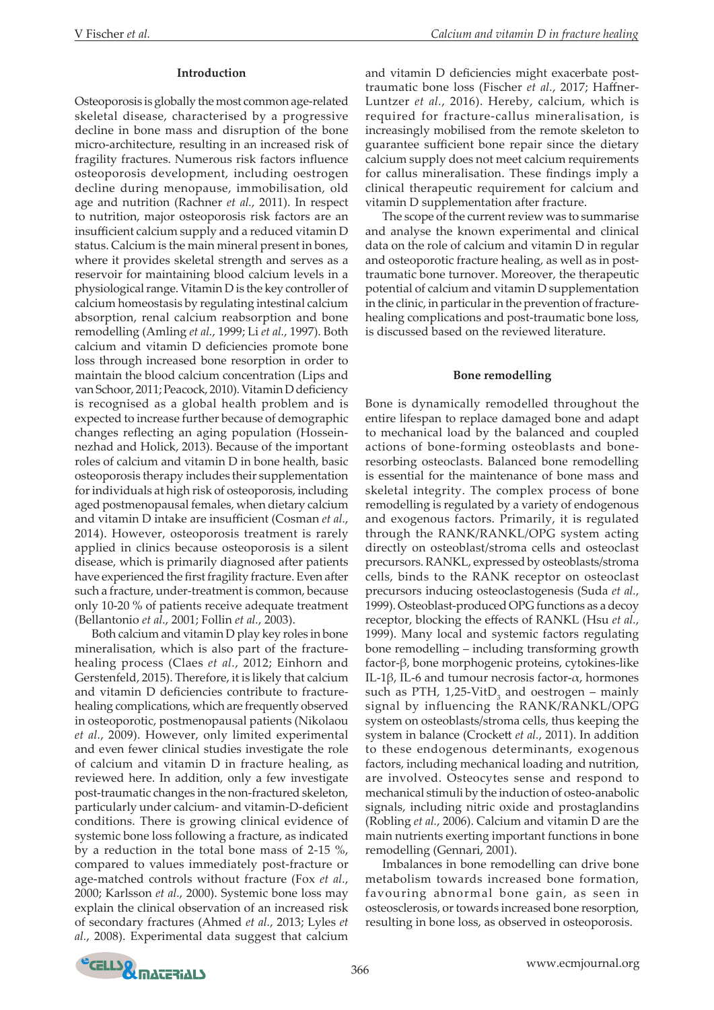## **Introduction**

Osteoporosis is globally the most common age-related skeletal disease, characterised by a progressive decline in bone mass and disruption of the bone micro-architecture, resulting in an increased risk of fragility fractures. Numerous risk factors influence osteoporosis development, including oestrogen decline during menopause, immobilisation, old age and nutrition (Rachner *et al.*, 2011). In respect to nutrition, major osteoporosis risk factors are an insufficient calcium supply and a reduced vitamin D status. Calcium is the main mineral present in bones, where it provides skeletal strength and serves as a reservoir for maintaining blood calcium levels in a physiological range. Vitamin D is the key controller of calcium homeostasis by regulating intestinal calcium absorption, renal calcium reabsorption and bone remodelling (Amling *et al.*, 1999; Li *et al.*, 1997). Both calcium and vitamin D deficiencies promote bone loss through increased bone resorption in order to maintain the blood calcium concentration (Lips and van Schoor, 2011; Peacock, 2010). Vitamin D deficiency is recognised as a global health problem and is expected to increase further because of demographic changes reflecting an aging population (Hosseinnezhad and Holick, 2013). Because of the important roles of calcium and vitamin D in bone health, basic osteoporosis therapy includes their supplementation for individuals at high risk of osteoporosis, including aged postmenopausal females, when dietary calcium and vitamin D intake are insufficient (Cosman *et al.*, 2014). However, osteoporosis treatment is rarely applied in clinics because osteoporosis is a silent disease, which is primarily diagnosed after patients have experienced the first fragility fracture. Even after such a fracture, under-treatment is common, because only 10-20 % of patients receive adequate treatment (Bellantonio *et al.*, 2001; Follin *et al.*, 2003).

Both calcium and vitamin D play key roles in bone mineralisation, which is also part of the fracturehealing process (Claes *et al.*, 2012; Einhorn and Gerstenfeld, 2015). Therefore, it is likely that calcium and vitamin D deficiencies contribute to fracturehealing complications, which are frequently observed in osteoporotic, postmenopausal patients (Nikolaou *et al.*, 2009). However, only limited experimental and even fewer clinical studies investigate the role of calcium and vitamin D in fracture healing, as reviewed here. In addition, only a few investigate post-traumatic changes in the non-fractured skeleton, particularly under calcium- and vitamin-D-deficient conditions. There is growing clinical evidence of systemic bone loss following a fracture, as indicated by a reduction in the total bone mass of 2-15 %, compared to values immediately post-fracture or age-matched controls without fracture (Fox *et al.*, 2000; Karlsson *et al.*, 2000). Systemic bone loss may explain the clinical observation of an increased risk of secondary fractures (Ahmed *et al.*, 2013; Lyles *et al.*, 2008). Experimental data suggest that calcium and vitamin D deficiencies might exacerbate posttraumatic bone loss (Fischer *et al.*, 2017; Haffner-Luntzer *et al.*, 2016). Hereby, calcium, which is required for fracture-callus mineralisation, is increasingly mobilised from the remote skeleton to guarantee sufficient bone repair since the dietary calcium supply does not meet calcium requirements for callus mineralisation. These findings imply a clinical therapeutic requirement for calcium and vitamin D supplementation after fracture.

The scope of the current review was to summarise and analyse the known experimental and clinical data on the role of calcium and vitamin D in regular and osteoporotic fracture healing, as well as in posttraumatic bone turnover. Moreover, the therapeutic potential of calcium and vitamin D supplementation in the clinic, in particular in the prevention of fracturehealing complications and post-traumatic bone loss, is discussed based on the reviewed literature.

**Bone remodelling**

Bone is dynamically remodelled throughout the entire lifespan to replace damaged bone and adapt to mechanical load by the balanced and coupled actions of bone-forming osteoblasts and boneresorbing osteoclasts. Balanced bone remodelling is essential for the maintenance of bone mass and skeletal integrity. The complex process of bone remodelling is regulated by a variety of endogenous and exogenous factors. Primarily, it is regulated through the RANK/RANKL/OPG system acting directly on osteoblast/stroma cells and osteoclast precursors. RANKL, expressed by osteoblasts/stroma cells, binds to the RANK receptor on osteoclast precursors inducing osteoclastogenesis (Suda *et al.*, 1999). Osteoblast-produced OPG functions as a decoy receptor, blocking the effects of RANKL (Hsu *et al.*, 1999). Many local and systemic factors regulating bone remodelling – including transforming growth factor-β, bone morphogenic proteins, cytokines-like IL-1β, IL-6 and tumour necrosis factor-α, hormones such as PTH,  $1,25$ -VitD<sub>3</sub> and oestrogen – mainly signal by influencing the RANK/RANKL/OPG system on osteoblasts/stroma cells, thus keeping the system in balance (Crockett *et al.*, 2011). In addition to these endogenous determinants, exogenous factors, including mechanical loading and nutrition, are involved. Osteocytes sense and respond to mechanical stimuli by the induction of osteo-anabolic signals, including nitric oxide and prostaglandins (Robling *et al.*, 2006). Calcium and vitamin D are the main nutrients exerting important functions in bone remodelling (Gennari, 2001).

Imbalances in bone remodelling can drive bone metabolism towards increased bone formation, favouring abnormal bone gain, as seen in osteosclerosis, or towards increased bone resorption, resulting in bone loss, as observed in osteoporosis.

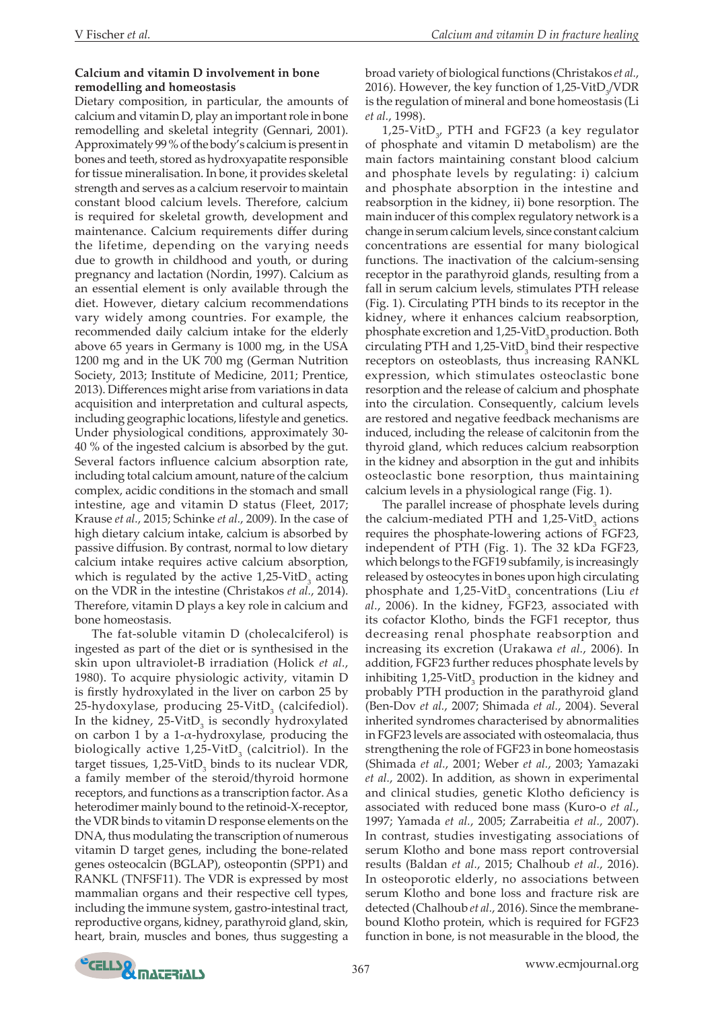# **Calcium and vitamin D involvement in bone remodelling and homeostasis**

Dietary composition, in particular, the amounts of calcium and vitamin D, play an important role in bone remodelling and skeletal integrity (Gennari, 2001). Approximately 99% of the body's calcium is present in bones and teeth, stored as hydroxyapatite responsible for tissue mineralisation. In bone, it provides skeletal strength and serves as a calcium reservoir to maintain constant blood calcium levels. Therefore, calcium is required for skeletal growth, development and maintenance. Calcium requirements differ during the lifetime, depending on the varying needs due to growth in childhood and youth, or during pregnancy and lactation (Nordin, 1997). Calcium as an essential element is only available through the diet. However, dietary calcium recommendations vary widely among countries. For example, the recommended daily calcium intake for the elderly above 65 years in Germany is 1000 mg, in the USA 1200 mg and in the UK 700 mg (German Nutrition Society, 2013; Institute of Medicine, 2011; Prentice, 2013). Differences might arise from variations in data acquisition and interpretation and cultural aspects, including geographic locations, lifestyle and genetics. Under physiological conditions, approximately 30- 40 % of the ingested calcium is absorbed by the gut. Several factors influence calcium absorption rate, including total calcium amount, nature of the calcium complex, acidic conditions in the stomach and small intestine, age and vitamin D status (Fleet, 2017; Krause *et al.*, 2015; Schinke *et al.*, 2009). In the case of high dietary calcium intake, calcium is absorbed by passive diffusion. By contrast, normal to low dietary calcium intake requires active calcium absorption, which is regulated by the active 1,25-Vit $D_3$  acting on the VDR in the intestine (Christakos *et al.*, 2014). Therefore, vitamin D plays a key role in calcium and bone homeostasis.

The fat-soluble vitamin D (cholecalciferol) is ingested as part of the diet or is synthesised in the skin upon ultraviolet-B irradiation (Holick *et al.*, 1980). To acquire physiologic activity, vitamin D is firstly hydroxylated in the liver on carbon 25 by 25-hydoxylase, producing 25-Vit $D_3$  (calcifediol). In the kidney,  $25\text{-}VitD_{3}$  is secondly hydroxylated on carbon 1 by a 1- $\alpha$ -hydroxylase, producing the biologically active 1,25-Vit $D_3$  (calcitriol). In the target tissues,  $1,25$ -Vit $D_3$  binds to its nuclear VDR, a family member of the steroid/thyroid hormone receptors, and functions as a transcription factor. As a heterodimer mainly bound to the retinoid-X-receptor, the VDR binds to vitamin D response elements on the DNA, thus modulating the transcription of numerous vitamin D target genes, including the bone-related genes osteocalcin (BGLAP), osteopontin (SPP1) and RANKL (TNFSF11). The VDR is expressed by most mammalian organs and their respective cell types, including the immune system, gastro-intestinal tract, reproductive organs, kidney, parathyroid gland, skin, heart, brain, muscles and bones, thus suggesting a

broad variety of biological functions (Christakos *et al.*, 2016). However, the key function of  $1,25\text{-}VitD<sub>3</sub>/VDR$ is the regulation of mineral and bone homeostasis (Li *et al.*, 1998).

1,25-Vit $D_{\alpha}$ , PTH and FGF23 (a key regulator of phosphate and vitamin D metabolism) are the main factors maintaining constant blood calcium and phosphate levels by regulating: i) calcium and phosphate absorption in the intestine and reabsorption in the kidney, ii) bone resorption. The main inducer of this complex regulatory network is a change in serum calcium levels, since constant calcium concentrations are essential for many biological functions. The inactivation of the calcium-sensing receptor in the parathyroid glands, resulting from a fall in serum calcium levels, stimulates PTH release (Fig. 1). Circulating PTH binds to its receptor in the kidney, where it enhances calcium reabsorption, phosphate excretion and 1,25-VitD<sub>2</sub> production. Both circulating PTH and  $1,25$ -Vit $D_3$  bind their respective receptors on osteoblasts, thus increasing RANKL expression, which stimulates osteoclastic bone resorption and the release of calcium and phosphate into the circulation. Consequently, calcium levels are restored and negative feedback mechanisms are induced, including the release of calcitonin from the thyroid gland, which reduces calcium reabsorption in the kidney and absorption in the gut and inhibits osteoclastic bone resorption, thus maintaining calcium levels in a physiological range (Fig. 1).

The parallel increase of phosphate levels during the calcium-mediated PTH and  $1,25$ -Vit $D_3$  actions requires the phosphate-lowering actions of FGF23, independent of PTH (Fig. 1). The 32 kDa FGF23, which belongs to the FGF19 subfamily, is increasingly released by osteocytes in bones upon high circulating phosphate and  $1,25$ -VitD<sub>3</sub> concentrations (Liu *et al.*, 2006). In the kidney, FGF23, associated with its cofactor Klotho, binds the FGF1 receptor, thus decreasing renal phosphate reabsorption and increasing its excretion (Urakawa *et al.*, 2006). In addition, FGF23 further reduces phosphate levels by inhibiting  $1,25$ -Vit $D_3$  production in the kidney and probably PTH production in the parathyroid gland (Ben-Dov *et al.*, 2007; Shimada *et al.*, 2004). Several inherited syndromes characterised by abnormalities in FGF23 levels are associated with osteomalacia, thus strengthening the role of FGF23 in bone homeostasis (Shimada *et al.*, 2001; Weber *et al.*, 2003; Yamazaki *et al.*, 2002). In addition, as shown in experimental and clinical studies, genetic Klotho deficiency is associated with reduced bone mass (Kuro-o *et al.*, 1997; Yamada *et al.*, 2005; Zarrabeitia *et al.*, 2007). In contrast, studies investigating associations of serum Klotho and bone mass report controversial results (Baldan *et al.*, 2015; Chalhoub *et al.*, 2016). In osteoporotic elderly, no associations between serum Klotho and bone loss and fracture risk are detected (Chalhoub *et al.*, 2016). Since the membranebound Klotho protein, which is required for FGF23 function in bone, is not measurable in the blood, the

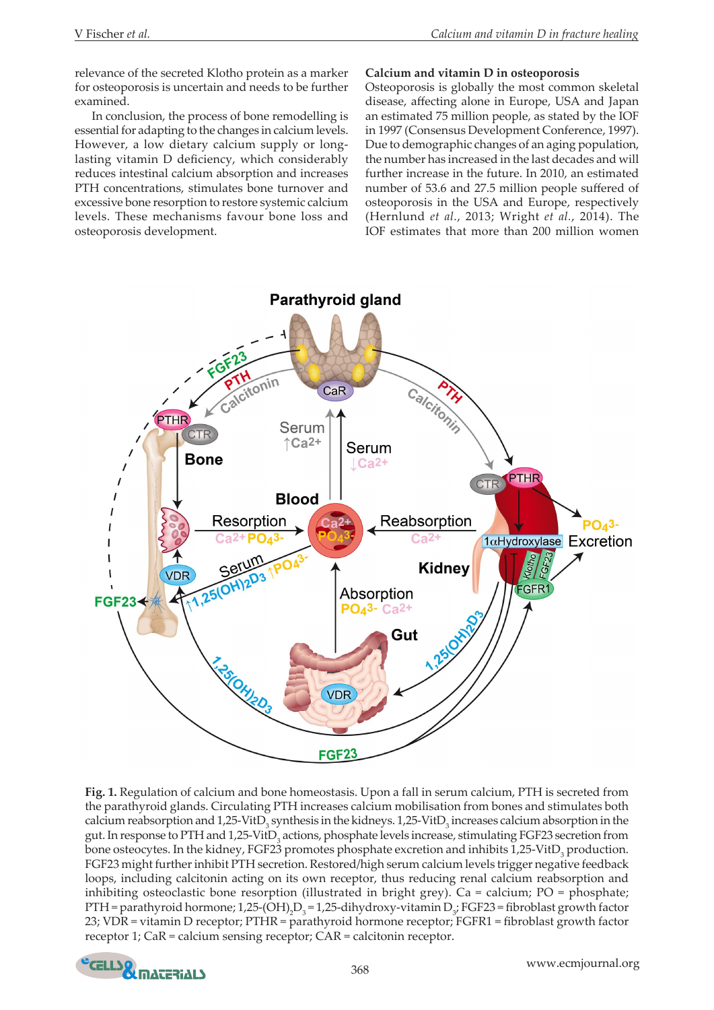relevance of the secreted Klotho protein as a marker for osteoporosis is uncertain and needs to be further examined.

In conclusion, the process of bone remodelling is essential for adapting to the changes in calcium levels. However, a low dietary calcium supply or longlasting vitamin D deficiency, which considerably reduces intestinal calcium absorption and increases PTH concentrations, stimulates bone turnover and excessive bone resorption to restore systemic calcium levels. These mechanisms favour bone loss and osteoporosis development.

### **Calcium and vitamin D in osteoporosis**

Osteoporosis is globally the most common skeletal disease, affecting alone in Europe, USA and Japan an estimated 75 million people, as stated by the IOF in 1997 (Consensus Development Conference, 1997). Due to demographic changes of an aging population, the number has increased in the last decades and will further increase in the future. In 2010, an estimated number of 53.6 and 27.5 million people suffered of osteoporosis in the USA and Europe, respectively (Hernlund *et al.*, 2013; Wright *et al.*, 2014). The IOF estimates that more than 200 million women



**Fig. 1.** Regulation of calcium and bone homeostasis. Upon a fall in serum calcium, PTH is secreted from the parathyroid glands. Circulating PTH increases calcium mobilisation from bones and stimulates both calcium reabsorption and 1,25-VitD<sub>3</sub> synthesis in the kidneys. 1,25-VitD<sub>3</sub> increases calcium absorption in the gut. In response to PTH and 1,25-Vit $D_3$  actions, phosphate levels increase, stimulating FGF23 secretion from bone osteocytes. In the kidney, FGF23 promotes phosphate excretion and inhibits 1,25-VitD<sub>3</sub> production. FGF23 might further inhibit PTH secretion. Restored/high serum calcium levels trigger negative feedback loops, including calcitonin acting on its own receptor, thus reducing renal calcium reabsorption and inhibiting osteoclastic bone resorption (illustrated in bright grey). Ca = calcium; PO = phosphate; PTH = parathyroid hormone; 1,25-(OH)<sub>2</sub>D<sub>3</sub> = 1,25-dihydroxy-vitamin D<sub>3</sub>; FGF23 = fibroblast growth factor 23; VDR = vitamin D receptor; PTHR = parathyroid hormone receptor; FGFR1 = fibroblast growth factor receptor 1; CaR = calcium sensing receptor; CAR = calcitonin receptor.

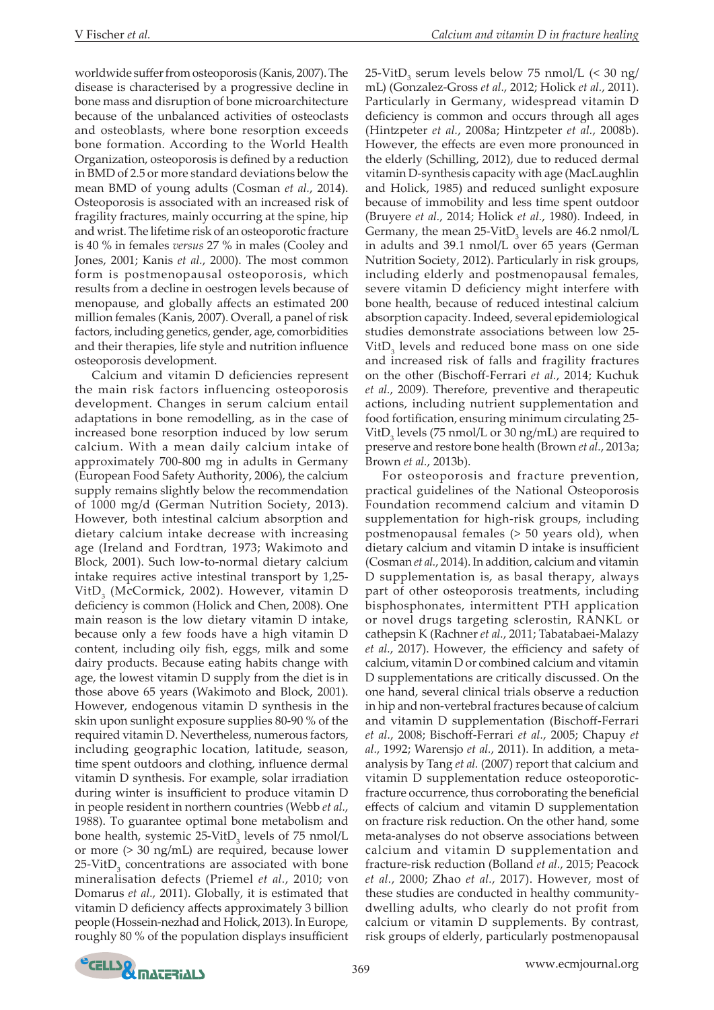worldwide suffer from osteoporosis (Kanis, 2007). The disease is characterised by a progressive decline in bone mass and disruption of bone microarchitecture because of the unbalanced activities of osteoclasts and osteoblasts, where bone resorption exceeds bone formation. According to the World Health Organization, osteoporosis is defined by a reduction in BMD of 2.5 or more standard deviations below the mean BMD of young adults (Cosman *et al.*, 2014). Osteoporosis is associated with an increased risk of fragility fractures, mainly occurring at the spine, hip and wrist. The lifetime risk of an osteoporotic fracture is 40 % in females *versus* 27 % in males (Cooley and Jones, 2001; Kanis *et al.*, 2000). The most common form is postmenopausal osteoporosis, which results from a decline in oestrogen levels because of menopause, and globally affects an estimated 200 million females (Kanis, 2007). Overall, a panel of risk factors, including genetics, gender, age, comorbidities and their therapies, life style and nutrition influence osteoporosis development.

Calcium and vitamin D deficiencies represent the main risk factors influencing osteoporosis development. Changes in serum calcium entail adaptations in bone remodelling, as in the case of increased bone resorption induced by low serum calcium. With a mean daily calcium intake of approximately 700-800 mg in adults in Germany (European Food Safety Authority, 2006), the calcium supply remains slightly below the recommendation of 1000 mg/d (German Nutrition Society, 2013). However, both intestinal calcium absorption and dietary calcium intake decrease with increasing age (Ireland and Fordtran, 1973; Wakimoto and Block, 2001). Such low-to-normal dietary calcium intake requires active intestinal transport by 1,25- VitD<sub>3</sub> (McCormick, 2002). However, vitamin D deficiency is common (Holick and Chen, 2008). One main reason is the low dietary vitamin D intake, because only a few foods have a high vitamin D content, including oily fish, eggs, milk and some dairy products. Because eating habits change with age, the lowest vitamin D supply from the diet is in those above 65 years (Wakimoto and Block, 2001). However, endogenous vitamin D synthesis in the skin upon sunlight exposure supplies 80-90 % of the required vitamin D. Nevertheless, numerous factors, including geographic location, latitude, season, time spent outdoors and clothing, influence dermal vitamin D synthesis. For example, solar irradiation during winter is insufficient to produce vitamin D in people resident in northern countries (Webb *et al.*, 1988). To guarantee optimal bone metabolism and bone health, systemic  $25$ -Vit $D_3$  levels of  $75$  nmol/L or more (> 30 ng/mL) are required, because lower 25-Vit $D_3$  concentrations are associated with bone mineralisation defects (Priemel *et al.*, 2010; von Domarus *et al.*, 2011). Globally, it is estimated that vitamin D deficiency affects approximately 3 billion people (Hossein-nezhad and Holick, 2013). In Europe, roughly 80 % of the population displays insufficient

25-Vit $D_3$  serum levels below 75 nmol/L (< 30 ng/ mL) (Gonzalez-Gross *et al.*, 2012; Holick *et al.*, 2011). Particularly in Germany, widespread vitamin D deficiency is common and occurs through all ages (Hintzpeter *et al.*, 2008a; Hintzpeter *et al.*, 2008b). However, the effects are even more pronounced in the elderly (Schilling, 2012), due to reduced dermal vitamin D-synthesis capacity with age (MacLaughlin and Holick, 1985) and reduced sunlight exposure because of immobility and less time spent outdoor (Bruyere *et al.*, 2014; Holick *et al.*, 1980). Indeed, in Germany, the mean  $25$ -Vit $D_3$  levels are 46.2 nmol/L in adults and 39.1 nmol/L over 65 years (German Nutrition Society, 2012). Particularly in risk groups, including elderly and postmenopausal females, severe vitamin D deficiency might interfere with bone health, because of reduced intestinal calcium absorption capacity. Indeed, several epidemiological studies demonstrate associations between low 25-  $VitD<sub>3</sub>$  levels and reduced bone mass on one side and increased risk of falls and fragility fractures on the other (Bischoff-Ferrari *et al.*, 2014; Kuchuk *et al.*, 2009). Therefore, preventive and therapeutic actions, including nutrient supplementation and food fortification, ensuring minimum circulating 25- Vit $D_3$  levels (75 nmol/L or 30 ng/mL) are required to preserve and restore bone health (Brown *et al.*, 2013a; Brown *et al.*, 2013b).

For osteoporosis and fracture prevention, practical guidelines of the National Osteoporosis Foundation recommend calcium and vitamin D supplementation for high-risk groups, including postmenopausal females (> 50 years old), when dietary calcium and vitamin D intake is insufficient (Cosman *et al.*, 2014). In addition, calcium and vitamin D supplementation is, as basal therapy, always part of other osteoporosis treatments, including bisphosphonates, intermittent PTH application or novel drugs targeting sclerostin, RANKL or cathepsin K (Rachner *et al.*, 2011; Tabatabaei-Malazy *et al.*, 2017). However, the efficiency and safety of calcium, vitamin D or combined calcium and vitamin D supplementations are critically discussed. On the one hand, several clinical trials observe a reduction in hip and non-vertebral fractures because of calcium and vitamin D supplementation (Bischoff-Ferrari *et al.*, 2008; Bischoff-Ferrari *et al.*, 2005; Chapuy *et al.*, 1992; Warensjo *et al.*, 2011). In addition, a metaanalysis by Tang *et al.* (2007) report that calcium and vitamin D supplementation reduce osteoporoticfracture occurrence, thus corroborating the beneficial effects of calcium and vitamin D supplementation on fracture risk reduction. On the other hand, some meta-analyses do not observe associations between calcium and vitamin D supplementation and fracture-risk reduction (Bolland *et al.*, 2015; Peacock *et al.*, 2000; Zhao *et al.*, 2017). However, most of these studies are conducted in healthy communitydwelling adults, who clearly do not profit from calcium or vitamin D supplements. By contrast, risk groups of elderly, particularly postmenopausal

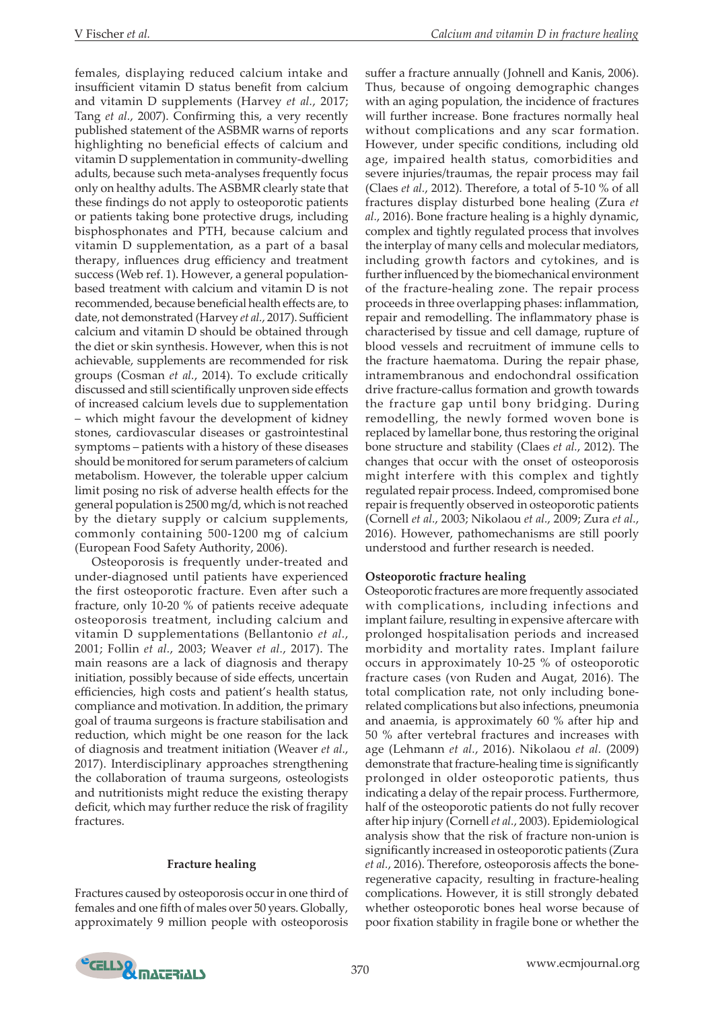females, displaying reduced calcium intake and insufficient vitamin D status benefit from calcium and vitamin D supplements (Harvey *et al.*, 2017; Tang *et al.*, 2007). Confirming this, a very recently published statement of the ASBMR warns of reports highlighting no beneficial effects of calcium and vitamin D supplementation in community-dwelling adults, because such meta-analyses frequently focus only on healthy adults. The ASBMR clearly state that these findings do not apply to osteoporotic patients or patients taking bone protective drugs, including bisphosphonates and PTH, because calcium and vitamin D supplementation, as a part of a basal therapy, influences drug efficiency and treatment success (Web ref. 1). However, a general populationbased treatment with calcium and vitamin D is not recommended, because beneficial health effects are, to date, not demonstrated (Harvey *et al.*, 2017). Sufficient calcium and vitamin D should be obtained through the diet or skin synthesis. However, when this is not achievable, supplements are recommended for risk groups (Cosman *et al.*, 2014). To exclude critically discussed and still scientifically unproven side effects of increased calcium levels due to supplementation – which might favour the development of kidney stones, cardiovascular diseases or gastrointestinal symptoms – patients with a history of these diseases should be monitored for serum parameters of calcium metabolism. However, the tolerable upper calcium limit posing no risk of adverse health effects for the general population is 2500 mg/d, which is not reached by the dietary supply or calcium supplements, commonly containing 500-1200 mg of calcium (European Food Safety Authority, 2006).

Osteoporosis is frequently under-treated and under-diagnosed until patients have experienced the first osteoporotic fracture. Even after such a fracture, only 10-20 % of patients receive adequate osteoporosis treatment, including calcium and vitamin D supplementations (Bellantonio *et al.*, 2001; Follin *et al.*, 2003; Weaver *et al.*, 2017). The main reasons are a lack of diagnosis and therapy initiation, possibly because of side effects, uncertain efficiencies, high costs and patient's health status, compliance and motivation. In addition, the primary goal of trauma surgeons is fracture stabilisation and reduction, which might be one reason for the lack of diagnosis and treatment initiation (Weaver *et al.*, 2017). Interdisciplinary approaches strengthening the collaboration of trauma surgeons, osteologists and nutritionists might reduce the existing therapy deficit, which may further reduce the risk of fragility fractures.

# **Fracture healing**

Fractures caused by osteoporosis occur in one third of females and one fifth of males over 50 years. Globally, approximately 9 million people with osteoporosis suffer a fracture annually (Johnell and Kanis, 2006). Thus, because of ongoing demographic changes with an aging population, the incidence of fractures will further increase. Bone fractures normally heal without complications and any scar formation. However, under specific conditions, including old age, impaired health status, comorbidities and severe injuries/traumas, the repair process may fail (Claes *et al.*, 2012). Therefore, a total of 5-10 % of all fractures display disturbed bone healing (Zura *et al.*, 2016). Bone fracture healing is a highly dynamic, complex and tightly regulated process that involves the interplay of many cells and molecular mediators, including growth factors and cytokines, and is further influenced by the biomechanical environment of the fracture-healing zone. The repair process proceeds in three overlapping phases: inflammation, repair and remodelling. The inflammatory phase is characterised by tissue and cell damage, rupture of blood vessels and recruitment of immune cells to the fracture haematoma. During the repair phase, intramembranous and endochondral ossification drive fracture-callus formation and growth towards the fracture gap until bony bridging. During remodelling, the newly formed woven bone is replaced by lamellar bone, thus restoring the original bone structure and stability (Claes *et al.*, 2012). The changes that occur with the onset of osteoporosis might interfere with this complex and tightly regulated repair process. Indeed, compromised bone repair is frequently observed in osteoporotic patients (Cornell *et al.*, 2003; Nikolaou *et al.*, 2009; Zura *et al.*, 2016). However, pathomechanisms are still poorly understood and further research is needed.

# **Osteoporotic fracture healing**

Osteoporotic fractures are more frequently associated with complications, including infections and implant failure, resulting in expensive aftercare with prolonged hospitalisation periods and increased morbidity and mortality rates. Implant failure occurs in approximately 10-25 % of osteoporotic fracture cases (von Ruden and Augat, 2016). The total complication rate, not only including bonerelated complications but also infections, pneumonia and anaemia, is approximately 60 % after hip and 50 % after vertebral fractures and increases with age (Lehmann *et al.*, 2016). Nikolaou *et al.* (2009) demonstrate that fracture-healing time is significantly prolonged in older osteoporotic patients, thus indicating a delay of the repair process. Furthermore, half of the osteoporotic patients do not fully recover after hip injury (Cornell *et al.*, 2003). Epidemiological analysis show that the risk of fracture non-union is significantly increased in osteoporotic patients (Zura *et al.*, 2016). Therefore, osteoporosis affects the boneregenerative capacity, resulting in fracture-healing complications. However, it is still strongly debated whether osteoporotic bones heal worse because of poor fixation stability in fragile bone or whether the

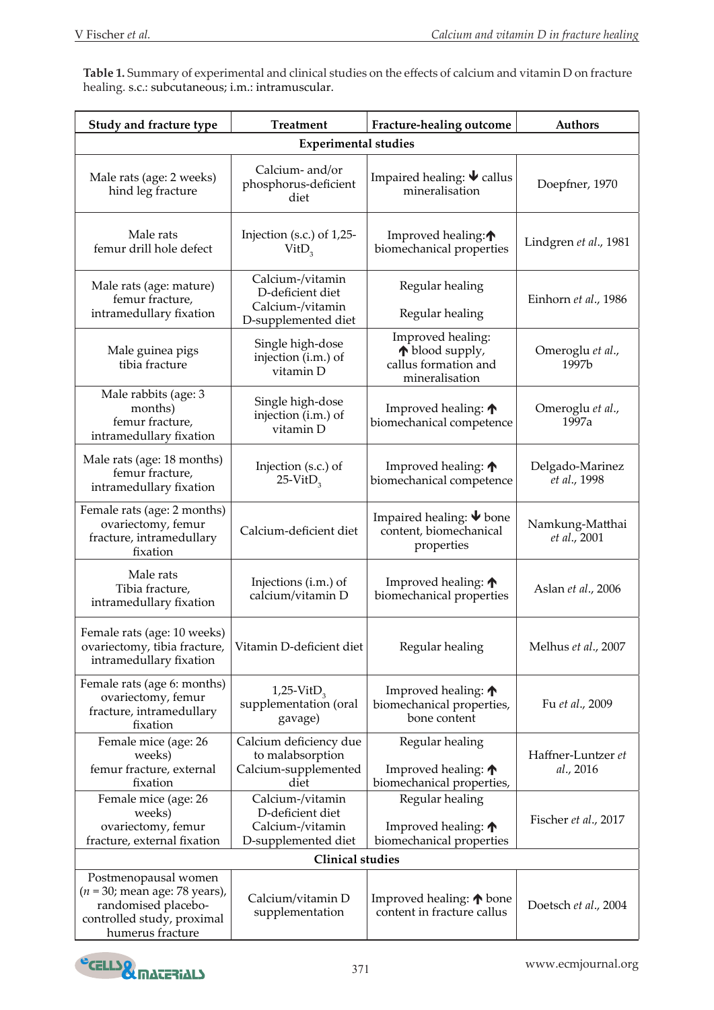**Table 1.** Summary of experimental and clinical studies on the effects of calcium and vitamin D on fracture healing. s.c.: subcutaneous; i.m.: intramuscular.

| Study and fracture type                                                                                                                                                | <b>Treatment</b>                                                                | <b>Fracture-healing outcome</b>                                                | Authors                         |  |  |  |
|------------------------------------------------------------------------------------------------------------------------------------------------------------------------|---------------------------------------------------------------------------------|--------------------------------------------------------------------------------|---------------------------------|--|--|--|
|                                                                                                                                                                        | <b>Experimental studies</b>                                                     |                                                                                |                                 |  |  |  |
| Male rats (age: 2 weeks)<br>hind leg fracture                                                                                                                          | Calcium- and/or<br>phosphorus-deficient<br>diet                                 | Impaired healing: $\blacklozenge$ callus<br>mineralisation                     | Doepfner, 1970                  |  |  |  |
| Male rats<br>femur drill hole defect                                                                                                                                   | Injection (s.c.) of $1,25$ -<br>VitD <sub>3</sub>                               | Improved healing: $\spadesuit$<br>biomechanical properties                     | Lindgren et al., 1981           |  |  |  |
| Male rats (age: mature)<br>femur fracture,<br>intramedullary fixation                                                                                                  | Calcium-/vitamin<br>D-deficient diet<br>Calcium-/vitamin<br>D-supplemented diet | Regular healing<br>Regular healing                                             | Einhorn et al., 1986            |  |  |  |
| Male guinea pigs<br>tibia fracture                                                                                                                                     | Single high-dose<br>injection (i.m.) of<br>vitamin D                            | Improved healing:<br>blood supply,<br>callus formation and<br>mineralisation   | Omeroglu et al.,<br>1997b       |  |  |  |
| Male rabbits (age: 3<br>months)<br>femur fracture,<br>intramedullary fixation                                                                                          | Single high-dose<br>injection (i.m.) of<br>vitamin D                            | Improved healing: $\spadesuit$<br>biomechanical competence                     | Omeroglu et al.,<br>1997a       |  |  |  |
| Male rats (age: 18 months)<br>femur fracture,<br>intramedullary fixation                                                                                               | Injection (s.c.) of<br>$25-VitD3$                                               | Improved healing: $\spadesuit$<br>biomechanical competence                     | Delgado-Marinez<br>et al., 1998 |  |  |  |
| Female rats (age: 2 months)<br>ovariectomy, femur<br>fracture, intramedullary<br>fixation                                                                              | Calcium-deficient diet                                                          | Impaired healing: $\blacklozenge$ bone<br>content, biomechanical<br>properties | Namkung-Matthai<br>et al., 2001 |  |  |  |
| Male rats<br>Tibia fracture,<br>intramedullary fixation                                                                                                                | Injections (i.m.) of<br>calcium/vitamin D                                       | Improved healing: $\spadesuit$<br>biomechanical properties                     | Aslan et al., 2006              |  |  |  |
| Female rats (age: 10 weeks)<br>ovariectomy, tibia fracture,<br>intramedullary fixation                                                                                 | Vitamin D-deficient diet                                                        | Regular healing                                                                | Melhus et al., 2007             |  |  |  |
| Female rats (age 6: months)<br>ovariectomy, femur<br>fracture, intramedullary<br>fixation                                                                              | 1,25-Vit $D_3$<br>supplementation (oral<br>gavage)                              | Improved healing: $\spadesuit$<br>biomechanical properties,<br>bone content    | Fu et al., 2009                 |  |  |  |
| Female mice (age: 26<br>weeks)<br>femur fracture, external<br>fixation                                                                                                 | Calcium deficiency due<br>to malabsorption<br>Calcium-supplemented<br>diet      | Regular healing<br>Improved healing: $\spadesuit$<br>biomechanical properties, | Haffner-Luntzer et<br>al., 2016 |  |  |  |
| Calcium-/vitamin<br>Female mice (age: 26<br>D-deficient diet<br>weeks)<br>ovariectomy, femur<br>Calcium-/vitamin<br>fracture, external fixation<br>D-supplemented diet |                                                                                 | Regular healing<br>Improved healing: $\uparrow$<br>biomechanical properties    | Fischer et al., 2017            |  |  |  |
| <b>Clinical studies</b>                                                                                                                                                |                                                                                 |                                                                                |                                 |  |  |  |
| Postmenopausal women<br>$(n = 30;$ mean age: 78 years),<br>randomised placebo-<br>controlled study, proximal<br>humerus fracture                                       | Calcium/vitamin D<br>supplementation                                            | Improved healing: $\spadesuit$ bone<br>content in fracture callus              | Doetsch et al., 2004            |  |  |  |

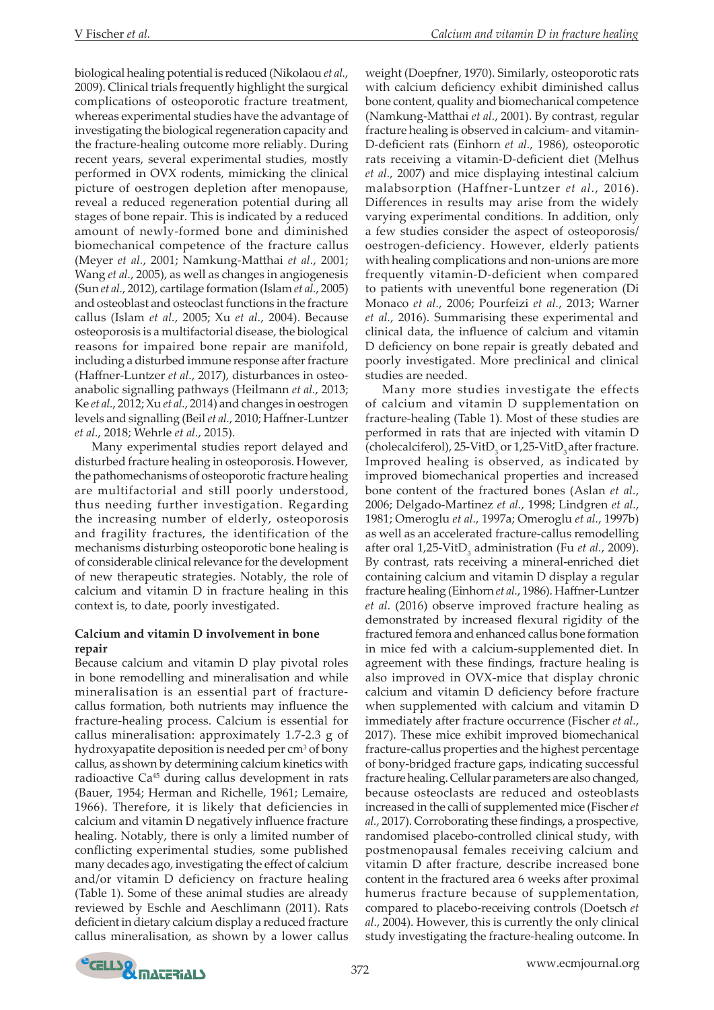biological healing potential is reduced (Nikolaou *et al.*, 2009). Clinical trials frequently highlight the surgical complications of osteoporotic fracture treatment, whereas experimental studies have the advantage of investigating the biological regeneration capacity and the fracture-healing outcome more reliably. During recent years, several experimental studies, mostly performed in OVX rodents, mimicking the clinical picture of oestrogen depletion after menopause, reveal a reduced regeneration potential during all stages of bone repair. This is indicated by a reduced amount of newly-formed bone and diminished biomechanical competence of the fracture callus (Meyer *et al.*, 2001; Namkung-Matthai *et al.*, 2001; Wang *et al.*, 2005), as well as changes in angiogenesis (Sun *et al.*, 2012), cartilage formation (Islam *et al.*, 2005) and osteoblast and osteoclast functions in the fracture callus (Islam *et al.*, 2005; Xu *et al.*, 2004). Because osteoporosis is a multifactorial disease, the biological reasons for impaired bone repair are manifold, including a disturbed immune response after fracture (Haffner-Luntzer *et al.*, 2017), disturbances in osteoanabolic signalling pathways (Heilmann *et al.*, 2013; Ke *et al.*, 2012; Xu *et al.*, 2014) and changes in oestrogen levels and signalling (Beil *et al.*, 2010; Haffner-Luntzer *et al.*, 2018; Wehrle *et al.*, 2015).

Many experimental studies report delayed and disturbed fracture healing in osteoporosis. However, the pathomechanisms of osteoporotic fracture healing are multifactorial and still poorly understood, thus needing further investigation. Regarding the increasing number of elderly, osteoporosis and fragility fractures, the identification of the mechanisms disturbing osteoporotic bone healing is of considerable clinical relevance for the development of new therapeutic strategies. Notably, the role of calcium and vitamin D in fracture healing in this context is, to date, poorly investigated.

# **Calcium and vitamin D involvement in bone repair**

Because calcium and vitamin D play pivotal roles in bone remodelling and mineralisation and while mineralisation is an essential part of fracturecallus formation, both nutrients may influence the fracture-healing process. Calcium is essential for callus mineralisation: approximately 1.7-2.3 g of hydroxyapatite deposition is needed per cm<sup>3</sup> of bony callus, as shown by determining calcium kinetics with radioactive Ca<sup>45</sup> during callus development in rats (Bauer, 1954; Herman and Richelle, 1961; Lemaire, 1966). Therefore, it is likely that deficiencies in calcium and vitamin D negatively influence fracture healing. Notably, there is only a limited number of conflicting experimental studies, some published many decades ago, investigating the effect of calcium and/or vitamin D deficiency on fracture healing (Table 1). Some of these animal studies are already reviewed by Eschle and Aeschlimann (2011). Rats deficient in dietary calcium display a reduced fracture callus mineralisation, as shown by a lower callus

weight (Doepfner, 1970). Similarly, osteoporotic rats with calcium deficiency exhibit diminished callus bone content, quality and biomechanical competence (Namkung-Matthai *et al.*, 2001). By contrast, regular fracture healing is observed in calcium- and vitamin-D-deficient rats (Einhorn *et al.*, 1986), osteoporotic rats receiving a vitamin-D-deficient diet (Melhus *et al.*, 2007) and mice displaying intestinal calcium malabsorption (Haffner-Luntzer *et al.*, 2016). Differences in results may arise from the widely varying experimental conditions. In addition, only a few studies consider the aspect of osteoporosis/ oestrogen-deficiency. However, elderly patients with healing complications and non-unions are more frequently vitamin-D-deficient when compared to patients with uneventful bone regeneration (Di Monaco *et al.*, 2006; Pourfeizi *et al.*, 2013; Warner *et al.*, 2016). Summarising these experimental and clinical data, the influence of calcium and vitamin D deficiency on bone repair is greatly debated and poorly investigated. More preclinical and clinical studies are needed.

Many more studies investigate the effects of calcium and vitamin D supplementation on fracture-healing (Table 1). Most of these studies are performed in rats that are injected with vitamin D (cholecalciferol),  $25$ -Vit $D_3$  or  $1,25$ -Vit $D_3$  after fracture. Improved healing is observed, as indicated by improved biomechanical properties and increased bone content of the fractured bones (Aslan *et al.*, 2006; Delgado-Martinez *et al.*, 1998; Lindgren *et al.*, 1981; Omeroglu *et al.*, 1997a; Omeroglu *et al.*, 1997b) as well as an accelerated fracture-callus remodelling after oral 1,25-VitD<sub>3</sub> administration (Fu *et al.*, 2009). By contrast, rats receiving a mineral-enriched diet containing calcium and vitamin D display a regular fracture healing (Einhorn *et al.*, 1986). Haffner-Luntzer *et al.* (2016) observe improved fracture healing as demonstrated by increased flexural rigidity of the fractured femora and enhanced callus bone formation in mice fed with a calcium-supplemented diet. In agreement with these findings, fracture healing is also improved in OVX-mice that display chronic calcium and vitamin D deficiency before fracture when supplemented with calcium and vitamin D immediately after fracture occurrence (Fischer *et al.*, 2017). These mice exhibit improved biomechanical fracture-callus properties and the highest percentage of bony-bridged fracture gaps, indicating successful fracture healing. Cellular parameters are also changed, because osteoclasts are reduced and osteoblasts increased in the calli of supplemented mice (Fischer *et al.*, 2017). Corroborating these findings, a prospective, randomised placebo-controlled clinical study, with postmenopausal females receiving calcium and vitamin D after fracture, describe increased bone content in the fractured area 6 weeks after proximal humerus fracture because of supplementation, compared to placebo-receiving controls (Doetsch *et al.*, 2004). However, this is currently the only clinical study investigating the fracture-healing outcome. In

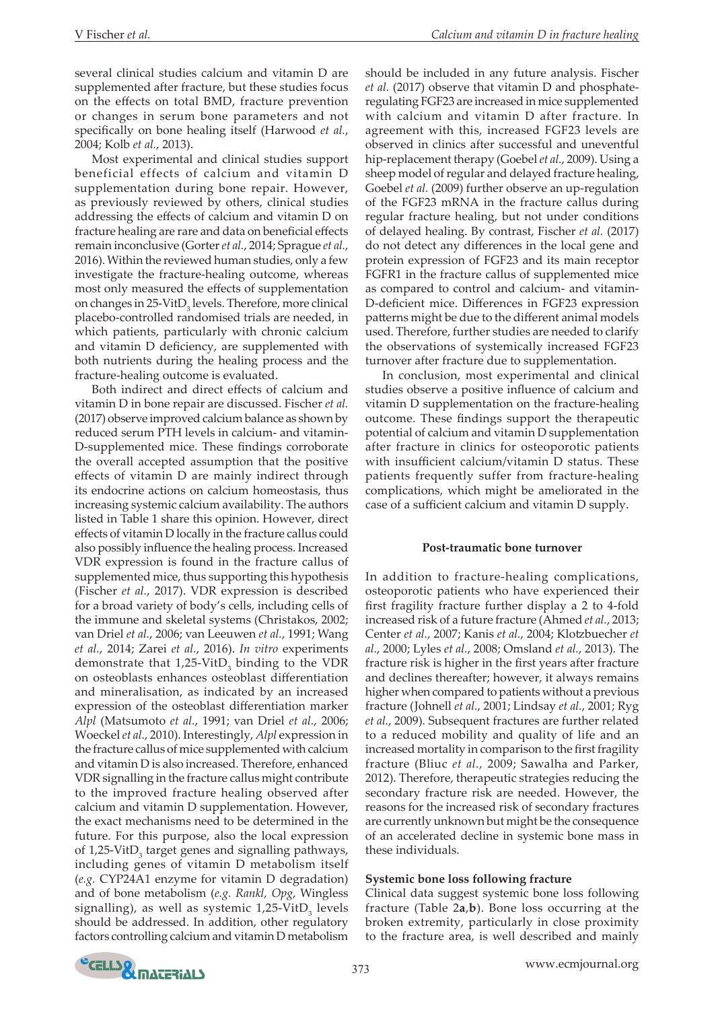several clinical studies calcium and vitamin D are supplemented after fracture, but these studies focus on the effects on total BMD, fracture prevention or changes in serum bone parameters and not specifically on bone healing itself (Harwood *et al.*, 2004; Kolb *et al.*, 2013).

Most experimental and clinical studies support beneficial effects of calcium and vitamin D supplementation during bone repair. However, as previously reviewed by others, clinical studies addressing the effects of calcium and vitamin D on fracture healing are rare and data on beneficial effects remain inconclusive (Gorter *et al.*, 2014; Sprague *et al.*, 2016). Within the reviewed human studies, only a few investigate the fracture-healing outcome, whereas most only measured the effects of supplementation on changes in 25-Vit $D_3$  levels. Therefore, more clinical placebo-controlled randomised trials are needed, in which patients, particularly with chronic calcium and vitamin D deficiency, are supplemented with both nutrients during the healing process and the fracture-healing outcome is evaluated.

Both indirect and direct effects of calcium and vitamin D in bone repair are discussed. Fischer *et al.* (2017) observe improved calcium balance as shown by reduced serum PTH levels in calcium- and vitamin-D-supplemented mice. These findings corroborate the overall accepted assumption that the positive effects of vitamin D are mainly indirect through its endocrine actions on calcium homeostasis, thus increasing systemic calcium availability. The authors listed in Table 1 share this opinion. However, direct effects of vitamin D locally in the fracture callus could also possibly influence the healing process. Increased VDR expression is found in the fracture callus of supplemented mice, thus supporting this hypothesis (Fischer *et al.*, 2017). VDR expression is described for a broad variety of body's cells, including cells of the immune and skeletal systems (Christakos, 2002; van Driel *et al.*, 2006; van Leeuwen *et al.*, 1991; Wang *et al.*, 2014; Zarei *et al.*, 2016). *In vitro* experiments demonstrate that 1,25-Vit $D_3$  binding to the VDR on osteoblasts enhances osteoblast differentiation and mineralisation, as indicated by an increased expression of the osteoblast differentiation marker *Alpl* (Matsumoto *et al.*, 1991; van Driel *et al.*, 2006; Woeckel *et al.*, 2010). Interestingly, *Alpl* expression in the fracture callus of mice supplemented with calcium and vitamin D is also increased. Therefore, enhanced VDR signalling in the fracture callus might contribute to the improved fracture healing observed after calcium and vitamin D supplementation. However, the exact mechanisms need to be determined in the future. For this purpose, also the local expression of 1,25-Vit $D_3$  target genes and signalling pathways, including genes of vitamin D metabolism itself (*e.g.* CYP24A1 enzyme for vitamin D degradation) and of bone metabolism (*e.g. Rankl, Opg*, Wingless signalling), as well as systemic 1,25-Vit $\mathrm{D}_\mathrm{3}$  levels should be addressed. In addition, other regulatory factors controlling calcium and vitamin D metabolism

should be included in any future analysis. Fischer *et al.* (2017) observe that vitamin D and phosphateregulating FGF23 are increased in mice supplemented with calcium and vitamin D after fracture. In agreement with this, increased FGF23 levels are observed in clinics after successful and uneventful hip-replacement therapy (Goebel *et al.*, 2009). Using a sheep model of regular and delayed fracture healing, Goebel *et al.* (2009) further observe an up-regulation of the FGF23 mRNA in the fracture callus during regular fracture healing, but not under conditions of delayed healing. By contrast, Fischer *et al.* (2017) do not detect any differences in the local gene and protein expression of FGF23 and its main receptor FGFR1 in the fracture callus of supplemented mice as compared to control and calcium- and vitamin-D-deficient mice. Differences in FGF23 expression patterns might be due to the different animal models used. Therefore, further studies are needed to clarify the observations of systemically increased FGF23 turnover after fracture due to supplementation.

In conclusion, most experimental and clinical studies observe a positive influence of calcium and vitamin D supplementation on the fracture-healing outcome. These findings support the therapeutic potential of calcium and vitamin D supplementation after fracture in clinics for osteoporotic patients with insufficient calcium/vitamin D status. These patients frequently suffer from fracture-healing complications, which might be ameliorated in the case of a sufficient calcium and vitamin D supply.

#### **Post-traumatic bone turnover**

In addition to fracture-healing complications, osteoporotic patients who have experienced their first fragility fracture further display a 2 to 4-fold increased risk of a future fracture (Ahmed *et al.*, 2013; Center *et al.*, 2007; Kanis *et al.*, 2004; Klotzbuecher *et al.*, 2000; Lyles *et al.*, 2008; Omsland *et al.*, 2013). The fracture risk is higher in the first years after fracture and declines thereafter; however, it always remains higher when compared to patients without a previous fracture (Johnell *et al.*, 2001; Lindsay *et al.*, 2001; Ryg *et al.*, 2009). Subsequent fractures are further related to a reduced mobility and quality of life and an increased mortality in comparison to the first fragility fracture (Bliuc *et al.*, 2009; Sawalha and Parker, 2012). Therefore, therapeutic strategies reducing the secondary fracture risk are needed. However, the reasons for the increased risk of secondary fractures are currently unknown but might be the consequence of an accelerated decline in systemic bone mass in these individuals.

#### **Systemic bone loss following fracture**

Clinical data suggest systemic bone loss following fracture (Table 2**a**,**b**). Bone loss occurring at the broken extremity, particularly in close proximity to the fracture area, is well described and mainly

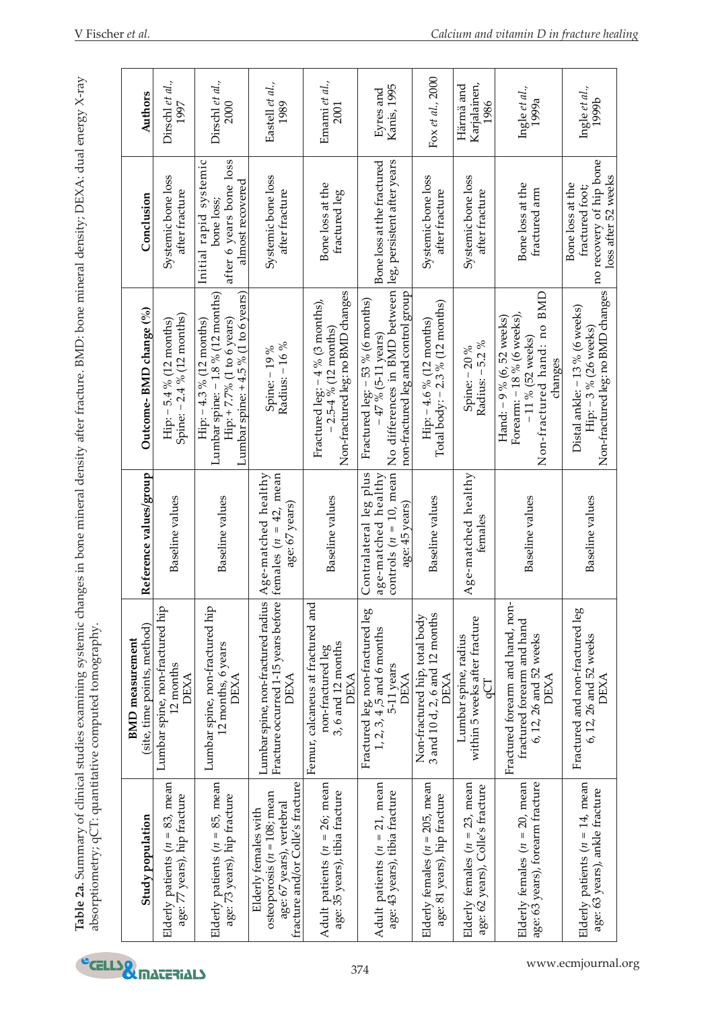|                                                                                                                          | Table 2a. Summary of clinical studies examining systemic changes in bone mineral density after fracture. BMD: bone mineral density; DEXA: dual energy X-ray<br>absorptiometry; qCT: quantitative computed tomography. |                                                                                               |                                                                                                                                        |                                                                                       |                                   |
|--------------------------------------------------------------------------------------------------------------------------|-----------------------------------------------------------------------------------------------------------------------------------------------------------------------------------------------------------------------|-----------------------------------------------------------------------------------------------|----------------------------------------------------------------------------------------------------------------------------------------|---------------------------------------------------------------------------------------|-----------------------------------|
| Study population                                                                                                         | (site, time points, method)<br><b>BMD</b> measurement                                                                                                                                                                 | Reference values/group                                                                        | Outcome-BMD change (%)                                                                                                                 | Conclusion                                                                            | Authors                           |
| Elderly patients ( $n = 83$ , mean<br>age: 77 years), hip fracture                                                       | Lumbar spine, non-fractured hip<br>12 months<br><b>DEXA</b>                                                                                                                                                           | Baseline values                                                                               | Spine: $-2.4\%$ (12 months)<br>$Hip: -5.4% (12 months)$                                                                                | Systemic bone loss<br>after fracture                                                  | Dirschl et al.,<br>1997           |
| Elderly patients ( $n = 85$ , mean<br>age: 73 years), hip fracture                                                       | Lumbar spine, non-fractured hip<br>12 months, 6 years<br><b>DEXA</b>                                                                                                                                                  | <b>Baseline</b> values                                                                        | Lumbar spine: $+4.5\%$ (1 to 6 years)<br>Lumbar spine: $-1.8$ % (12 months)<br>Hip: +7.7% (1 to 6 years)<br>Hip: $-4.3 \% (12 months)$ | Initial rapid systemic<br>after 6 years bone loss<br>almost recovered<br>bone loss;   | Dirschl et al.,<br>2000           |
| fracture and/or Colle's fracture<br>osteoporosis ( $n = 108$ ; mean<br>age: 67 years), vertebral<br>Elderly females with | Fracture occurred 1-15 years before females ( $n = 42$ , mean<br>Lumbar spine, non-fractured radius<br><b>DEXA</b>                                                                                                    | Age-matched healthy<br>age: 67 years)                                                         | Radius: $-16%$<br>Spine: -19%                                                                                                          | Systemic bone loss<br>after fracture                                                  | Eastell et al.,<br>1989           |
| Adult patients ( $n = 26$ ; mean<br>age: 35 years), tibia fracture                                                       | Femur, calcaneus at fractured and<br>$3, 6$ and $12$ months<br>non-fractured leg<br><b>DEXA</b>                                                                                                                       | <b>Baseline</b> values                                                                        | Non-fractured leg: no BMD changes<br>Fractured leg: $-4\%$ (3 months),<br>$-2.5-4%$ (12 months)                                        | Bone loss at the<br>fractured leg                                                     | Emami et al.,<br>2001             |
| Adult patients ( $n = 21$ , mean<br>age: 43 years), tibia fracture                                                       | Fractured leg, non-fractured leg<br>$1, 2, 3, 4$ ,5 and 6 months<br>5-11 years<br><b>DEXA</b>                                                                                                                         | controls $(n = 10)$ , mean<br>Contralateral leg plus<br>age-matched healthy<br>age: 45 years) | No differences in BMD between<br>non-fractured leg and control group<br>Fractured leg: – 53 % (6 months)<br>$-47%$ (5-11 years)        | leg, persistent after years<br>Bone loss at the fractured                             | Kanis, 1995<br>Eyres and          |
| Elderly females ( $n = 205$ , mean<br>age: 81 years), hip fracture                                                       | 3 and 10 d, 2, 6 and 12 months<br>Non-fractured hip, total body<br><b>DEXA</b>                                                                                                                                        | <b>Baseline</b> values                                                                        | Total body: $-2.3\%$ (12 months)<br>$Hip: -4.6 % (12 months)$                                                                          | Systemic bone loss<br>after fracture                                                  | Fox et al., 2000                  |
| Elderly females ( $n = 23$ , mean<br>age: 62 years), Colle's fracture                                                    | within 5 weeks after fracture<br>Lumbar spine, radius<br>qCT                                                                                                                                                          | Age-matched healthy<br>temales                                                                | Radius: - 5.2 %<br>Spine: - 20%                                                                                                        | Systemic bone loss<br>after fracture                                                  | Karjalainen,<br>Härmä and<br>1986 |
| age: 63 years), forearm fracture<br>Elderly females $(n = 20)$ , mean                                                    | Fractured forearm and hand, non-<br>fractured forearm and hand<br>6, 12, 26 and 52 weeks<br><b>DEXA</b>                                                                                                               | <b>Baseline</b> values                                                                        | Non-fractured hand: no BMD<br>Forearm: $-18%$ (6 weeks),<br>Hand: - 9 % (6, 52 weeks)<br>$-11%$ (52 weeks)<br>changes                  | Bone loss at the<br>fractured arm                                                     | Ingle $et$ $al_\cdot$<br>1999а    |
| Elderly patients $(n = 14$ , mean<br>age: 63 years), ankle fracture                                                      | Fractured and non-fractured leg<br>6, 12, 26 and 52 weeks<br>DEXA                                                                                                                                                     | <b>Baseline</b> values                                                                        | Non-fractured leg: no BMD changes<br>Distal ankle: - 13 % (6 weeks)<br>Hip: - 3 % (26 weeks)                                           | no recovery of hip bone<br>loss after 52 weeks<br>Bone loss at the<br>fractured foot; | Ingle et al.,<br>1999b            |

Table 2a. Summary of clinical studies examining systemic changes in bone mineral density after fracture. BMD: bone mineral density; DEXA: dual energy X-ray absorptiometry; qCT: quantitative computed tomography.

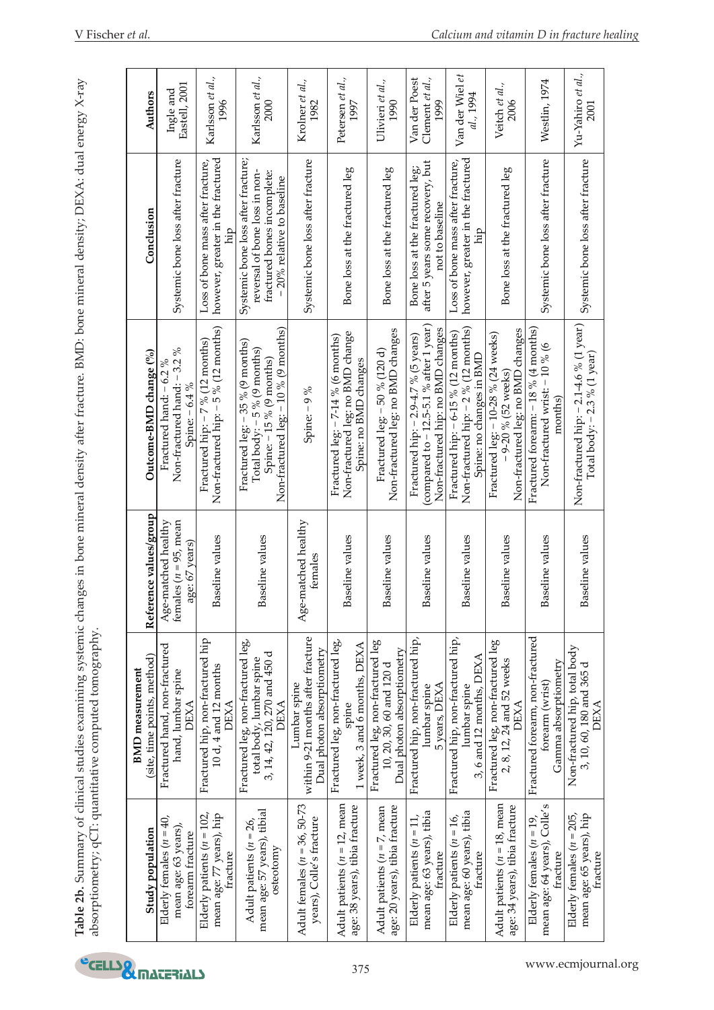| hanges in hone mineral density after fracture. BMD: hone mineral density: DEXA: dual energy X-ray<br>ì |                                 |
|--------------------------------------------------------------------------------------------------------|---------------------------------|
|                                                                                                        |                                 |
|                                                                                                        |                                 |
|                                                                                                        |                                 |
|                                                                                                        |                                 |
|                                                                                                        |                                 |
|                                                                                                        |                                 |
|                                                                                                        |                                 |
| ב בנונים שני אני אני באני האני היו ביותר ו                                                             |                                 |
|                                                                                                        |                                 |
|                                                                                                        |                                 |
| internet and the more                                                                                  |                                 |
| j                                                                                                      | i                               |
|                                                                                                        |                                 |
|                                                                                                        |                                 |
|                                                                                                        | しゅうしょう                          |
|                                                                                                        | י<br>ו<br>.<br>.<br>.<br>.<br>. |
|                                                                                                        |                                 |
| ・コン・コー                                                                                                 |                                 |
|                                                                                                        |                                 |

| Authors                                               | Eastell, 2001<br>Ingle and                                                | Karlsson et al.,<br>1996                                                      | Karlsson et al.,<br>2000                                                                                                            | Krolner et al.,<br>1982                                                         | Petersen et al.,<br>1997                                                                        | Ulivieri et al.,<br><u> 1990</u>                                                           | Van der Poest<br>Clement et al.,<br>1999                                                                               | Van der Wiel et<br>al., 1994                                                                            | Veitch et al.,<br>2006                                                                           | Westlin, 1974                                                                   | Yu-Yahiro et al.,<br>2001                                               |
|-------------------------------------------------------|---------------------------------------------------------------------------|-------------------------------------------------------------------------------|-------------------------------------------------------------------------------------------------------------------------------------|---------------------------------------------------------------------------------|-------------------------------------------------------------------------------------------------|--------------------------------------------------------------------------------------------|------------------------------------------------------------------------------------------------------------------------|---------------------------------------------------------------------------------------------------------|--------------------------------------------------------------------------------------------------|---------------------------------------------------------------------------------|-------------------------------------------------------------------------|
| Conclusion                                            | Systemic bone loss after fracture                                         | however, greater in the fractured<br>Loss of bone mass after fracture,<br>dlu | Systemic bone loss after fracture;<br>fractured bones incomplete:<br>reversal of bone loss in non-<br>20% relative to baseline      | Systemic bone loss after fracture                                               | Bone loss at the fractured leg                                                                  | Bone loss at the fractured leg                                                             | after 5 years some recovery, but<br>Bone loss at the fractured leg;<br>not to baseline                                 | however, greater in the fractured<br>Loss of bone mass after fracture,<br>qin                           | Bone loss at the fractured leg                                                                   | Systemic bone loss after fracture                                               | Systemic bone loss after fracture                                       |
| Outcome-BMD change (%)                                | Non-fractured hand: - 3.2 %<br>Fractured hand: - 6.2 %<br>Spine: $-6.4\%$ | Non-fractured hip: - 5 % (12 months)<br>Fractured hip: $-7%$ (12 months)      | Non-fractured leg: - 10 % (9 months)<br>Fractured leg: -35 % (9 months)<br>Total body: $-5%$ (9 months)<br>Spine: $-15%$ (9 months) | Spine: $-9\%$                                                                   | Non-fractured leg: no BMD change<br>Fractured $leg: -7-14%$ (6 months)<br>Spine: no BMD changes | Non-fractured leg: no BMD changes<br>Fractured leg: - 50 % (120 d)                         | (compared to $-12.5-5.1$ % after 1 year)<br>Non-fractured hip: no BMD changes<br>Fractured hip: $-2.9-4.7$ % (5 years) | Non-fractured hip: - 2 % (12 months)<br>Fractured hip: $-6-15%$ (12 months)<br>Spine: no changes in BML | Non-fractured leg: no BMD changes<br>Fractured leg: - 10-28 % (24 weeks)<br>$-9-20$ % (52 weeks) | Fractured forearm: -18 % (4 months)<br>Non-fractured wrist: -10 % (6<br>months) | Non-fractured hip: - 2.1-4.6 % (1 year)<br>Total body: $-2.3%$ (1 year) |
| Reference values/group                                | Age-matched healthy<br>females ( $n = 95$ , mean<br>age: 67 years)        | <b>Baseline</b> values                                                        | <b>Baseline</b> values                                                                                                              | Age-matched healthy<br>females                                                  | Baseline values                                                                                 | 3aseline values                                                                            | Baseline values                                                                                                        | <b>Baseline</b> values                                                                                  | Baseline values                                                                                  | <b>Baseline</b> values                                                          | Baseline values                                                         |
| (site, time points, method)<br><b>BMD</b> measurement | Fractured hand, non-fractured<br>hand, lumbar spine<br>DEXA               | Fractured hip, non-fractured hip<br>10 $d$ , $4$ and 12 months<br><b>DEXA</b> | Fractured leg, non-fractured leg,<br>3, 14, 42, 120, 270 and 450 d<br>total body, lumbar spine<br><b>DEXA</b>                       | within 9-21 months after fracture<br>Dual photon absorptiometry<br>Lumbar spine | Fractured leg, non-fractured leg,<br>1 week, 3 and 6 months, DEXA<br>spine                      | Fractured leg, non-fractured leg<br>Dual photon absorptiometry<br>10, 20, 30, 60 and 120 d | Fractured hip, non-fractured hip,<br>5 years, DEXA<br>lumbar spine                                                     | Fractured hip, non-fractured hip,<br>3, 6 and 12 months, DEXA<br>lumbar spine                           | Fractured leg, non-fractured leg<br>$2, 8, 12, 24$ and 52 weeks<br><b>DEXA</b>                   | Fractured forearm, non-fractured<br>Gamma absorptiometry<br>forearm (wrist)     | Non-fractured hip, total body<br>3, 10, 60, 180 and 365 d<br>DEXA       |
| Study population                                      | Elderly females ( $n = 40$ ,<br>mean age: 63 years),<br>forearm fracture  | Elderly patients ( $n = 102$ ,<br>mean age: 77 years), hip<br>fracture        | mean age: 57 years), tibial<br>Adult patients ( $n = 26$ ,<br>osteotomy                                                             | Adult females ( $n = 36$ , 50-73<br>years), Colle's fracture                    | Adult patients ( $n = 12$ , mean<br>age: 38 years), tibia fracture                              | age: 20 years), tibia fracture<br>Adult patients $(n = 7)$ , mean                          | mean age: 63 years), tibia<br>Elderly patients $(n = 11)$<br>fracture                                                  | mean age: 60 years), tibia<br>Elderly patients ( $n = 16$ ,<br>fracture                                 | Adult patients ( $n = 18$ , mean<br>age: 34 years), tibia fracture                               | mean age: 64 years), Colle's<br>Elderly females $(n = 19)$<br>fracture          | Elderly females ( $n = 205$ ,<br>mean age: 65 years), hip<br>fracture   |

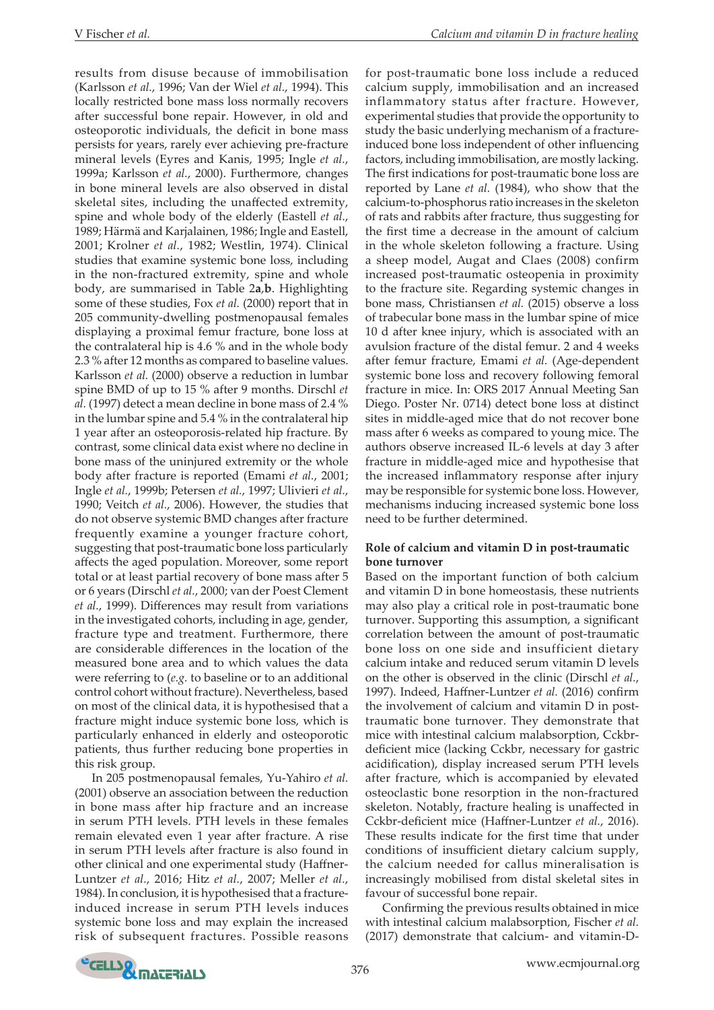results from disuse because of immobilisation (Karlsson *et al.*, 1996; Van der Wiel *et al.*, 1994). This locally restricted bone mass loss normally recovers after successful bone repair. However, in old and osteoporotic individuals, the deficit in bone mass persists for years, rarely ever achieving pre-fracture mineral levels (Eyres and Kanis, 1995; Ingle *et al.*, 1999a; Karlsson *et al.*, 2000). Furthermore, changes in bone mineral levels are also observed in distal skeletal sites, including the unaffected extremity, spine and whole body of the elderly (Eastell *et al.*, 1989; Härmä and Karjalainen, 1986; Ingle and Eastell, 2001; Krolner *et al.*, 1982; Westlin, 1974). Clinical studies that examine systemic bone loss, including in the non-fractured extremity, spine and whole body, are summarised in Table 2**a**,**b**. Highlighting some of these studies, Fox *et al.* (2000) report that in 205 community-dwelling postmenopausal females displaying a proximal femur fracture, bone loss at the contralateral hip is 4.6 % and in the whole body 2.3 % after 12 months as compared to baseline values. Karlsson *et al.* (2000) observe a reduction in lumbar spine BMD of up to 15 % after 9 months. Dirschl *et al.* (1997) detect a mean decline in bone mass of 2.4 % in the lumbar spine and 5.4 % in the contralateral hip 1 year after an osteoporosis-related hip fracture. By contrast, some clinical data exist where no decline in bone mass of the uninjured extremity or the whole body after fracture is reported (Emami *et al.*, 2001; Ingle *et al.*, 1999b; Petersen *et al.*, 1997; Ulivieri *et al.*, 1990; Veitch *et al.*, 2006). However, the studies that do not observe systemic BMD changes after fracture frequently examine a younger fracture cohort, suggesting that post-traumatic bone loss particularly affects the aged population. Moreover, some report total or at least partial recovery of bone mass after 5 or 6 years (Dirschl *et al.*, 2000; van der Poest Clement *et al.*, 1999). Differences may result from variations in the investigated cohorts, including in age, gender, fracture type and treatment. Furthermore, there are considerable differences in the location of the measured bone area and to which values the data were referring to (*e.g.* to baseline or to an additional control cohort without fracture). Nevertheless, based on most of the clinical data, it is hypothesised that a fracture might induce systemic bone loss, which is particularly enhanced in elderly and osteoporotic patients, thus further reducing bone properties in this risk group.

In 205 postmenopausal females, Yu-Yahiro *et al.* (2001) observe an association between the reduction in bone mass after hip fracture and an increase in serum PTH levels. PTH levels in these females remain elevated even 1 year after fracture. A rise in serum PTH levels after fracture is also found in other clinical and one experimental study (Haffner-Luntzer *et al.*, 2016; Hitz *et al.*, 2007; Meller *et al.*, 1984). In conclusion, it is hypothesised that a fractureinduced increase in serum PTH levels induces systemic bone loss and may explain the increased risk of subsequent fractures. Possible reasons for post-traumatic bone loss include a reduced calcium supply, immobilisation and an increased inflammatory status after fracture. However, experimental studies that provide the opportunity to study the basic underlying mechanism of a fractureinduced bone loss independent of other influencing factors, including immobilisation, are mostly lacking. The first indications for post-traumatic bone loss are reported by Lane *et al.* (1984), who show that the calcium-to-phosphorus ratio increases in the skeleton of rats and rabbits after fracture, thus suggesting for the first time a decrease in the amount of calcium in the whole skeleton following a fracture. Using a sheep model, Augat and Claes (2008) confirm increased post-traumatic osteopenia in proximity to the fracture site. Regarding systemic changes in bone mass, Christiansen *et al.* (2015) observe a loss of trabecular bone mass in the lumbar spine of mice 10 d after knee injury, which is associated with an avulsion fracture of the distal femur. 2 and 4 weeks after femur fracture, Emami *et al.* (Age-dependent systemic bone loss and recovery following femoral fracture in mice. In: ORS 2017 Annual Meeting San Diego. Poster Nr. 0714) detect bone loss at distinct sites in middle-aged mice that do not recover bone mass after 6 weeks as compared to young mice. The authors observe increased IL-6 levels at day 3 after fracture in middle-aged mice and hypothesise that the increased inflammatory response after injury may be responsible for systemic bone loss. However, mechanisms inducing increased systemic bone loss need to be further determined.

## **Role of calcium and vitamin D in post-traumatic bone turnover**

Based on the important function of both calcium and vitamin D in bone homeostasis, these nutrients may also play a critical role in post-traumatic bone turnover. Supporting this assumption, a significant correlation between the amount of post-traumatic bone loss on one side and insufficient dietary calcium intake and reduced serum vitamin D levels on the other is observed in the clinic (Dirschl *et al.*, 1997). Indeed, Haffner-Luntzer *et al.* (2016) confirm the involvement of calcium and vitamin D in posttraumatic bone turnover. They demonstrate that mice with intestinal calcium malabsorption, Cckbrdeficient mice (lacking Cckbr, necessary for gastric acidification), display increased serum PTH levels after fracture, which is accompanied by elevated osteoclastic bone resorption in the non-fractured skeleton. Notably, fracture healing is unaffected in Cckbr-deficient mice (Haffner-Luntzer *et al.*, 2016). These results indicate for the first time that under conditions of insufficient dietary calcium supply, the calcium needed for callus mineralisation is increasingly mobilised from distal skeletal sites in favour of successful bone repair.

Confirming the previous results obtained in mice with intestinal calcium malabsorption, Fischer *et al.* (2017) demonstrate that calcium- and vitamin-D-

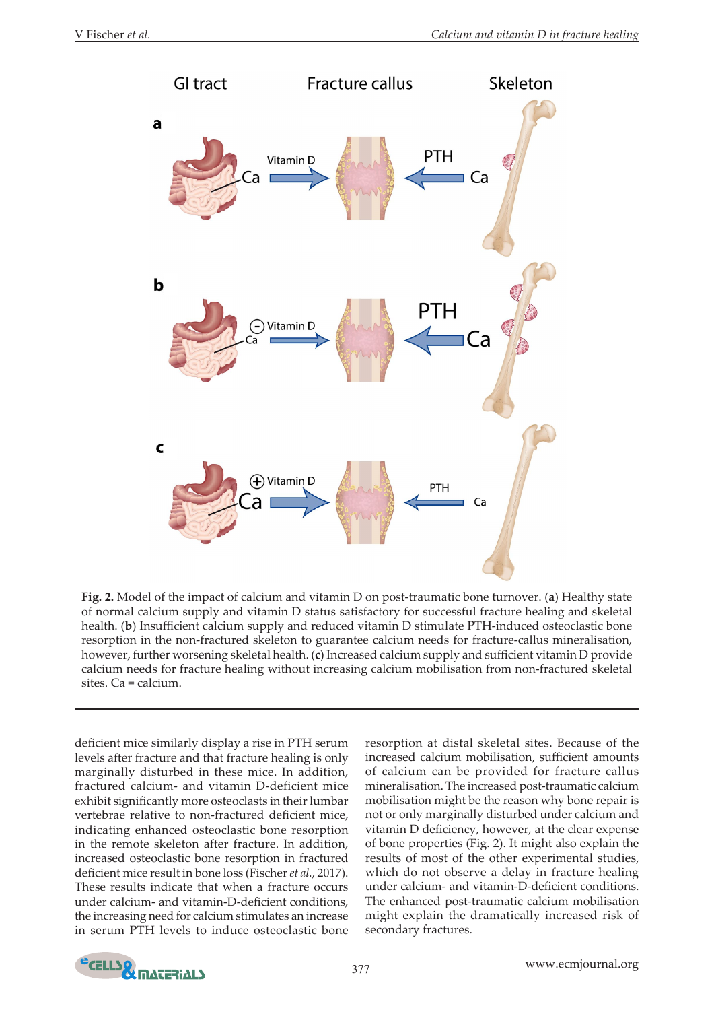

**Fig. 2.** Model of the impact of calcium and vitamin D on post-traumatic bone turnover. (**a**) Healthy state of normal calcium supply and vitamin D status satisfactory for successful fracture healing and skeletal health. (**b**) Insufficient calcium supply and reduced vitamin D stimulate PTH-induced osteoclastic bone resorption in the non-fractured skeleton to guarantee calcium needs for fracture-callus mineralisation, however, further worsening skeletal health. (**c**) Increased calcium supply and sufficient vitamin D provide calcium needs for fracture healing without increasing calcium mobilisation from non-fractured skeletal sites. Ca = calcium.

deficient mice similarly display a rise in PTH serum levels after fracture and that fracture healing is only marginally disturbed in these mice. In addition, fractured calcium- and vitamin D-deficient mice exhibit significantly more osteoclasts in their lumbar vertebrae relative to non-fractured deficient mice, indicating enhanced osteoclastic bone resorption in the remote skeleton after fracture. In addition, increased osteoclastic bone resorption in fractured deficient mice result in bone loss (Fischer *et al.*, 2017). These results indicate that when a fracture occurs under calcium- and vitamin-D-deficient conditions, the increasing need for calcium stimulates an increase in serum PTH levels to induce osteoclastic bone

resorption at distal skeletal sites. Because of the increased calcium mobilisation, sufficient amounts of calcium can be provided for fracture callus mineralisation. The increased post-traumatic calcium mobilisation might be the reason why bone repair is not or only marginally disturbed under calcium and vitamin D deficiency, however, at the clear expense of bone properties (Fig. 2). It might also explain the results of most of the other experimental studies, which do not observe a delay in fracture healing under calcium- and vitamin-D-deficient conditions. The enhanced post-traumatic calcium mobilisation might explain the dramatically increased risk of secondary fractures.

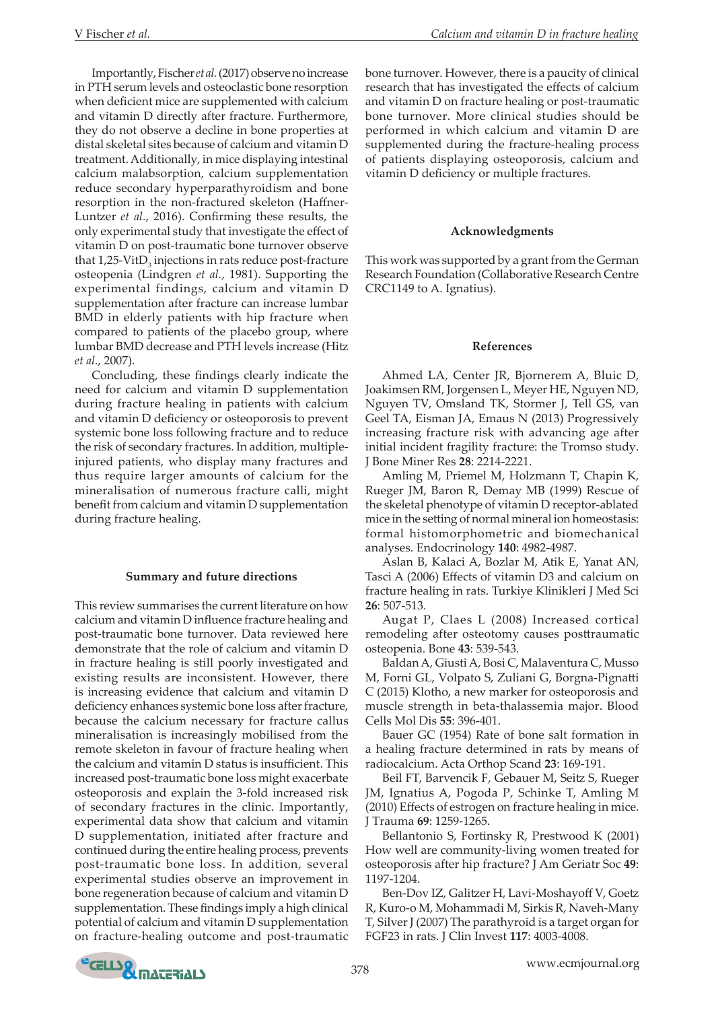Importantly, Fischer *et al.* (2017) observe no increase in PTH serum levels and osteoclastic bone resorption when deficient mice are supplemented with calcium and vitamin D directly after fracture. Furthermore, they do not observe a decline in bone properties at distal skeletal sites because of calcium and vitamin D treatment. Additionally, in mice displaying intestinal calcium malabsorption, calcium supplementation reduce secondary hyperparathyroidism and bone resorption in the non-fractured skeleton (Haffner-Luntzer *et al.*, 2016). Confirming these results, the only experimental study that investigate the effect of vitamin D on post-traumatic bone turnover observe that 1,25-Vit $\mathrm{D}_{\mathrm{3}}$  injections in rats reduce post-fracture osteopenia (Lindgren *et al.*, 1981). Supporting the experimental findings, calcium and vitamin D supplementation after fracture can increase lumbar BMD in elderly patients with hip fracture when compared to patients of the placebo group, where lumbar BMD decrease and PTH levels increase (Hitz *et al.*, 2007).

Concluding, these findings clearly indicate the need for calcium and vitamin D supplementation during fracture healing in patients with calcium and vitamin D deficiency or osteoporosis to prevent systemic bone loss following fracture and to reduce the risk of secondary fractures. In addition, multipleinjured patients, who display many fractures and thus require larger amounts of calcium for the mineralisation of numerous fracture calli, might benefit from calcium and vitamin D supplementation during fracture healing.

#### **Summary and future directions**

This review summarises the current literature on how calcium and vitamin D influence fracture healing and post-traumatic bone turnover. Data reviewed here demonstrate that the role of calcium and vitamin D in fracture healing is still poorly investigated and existing results are inconsistent. However, there is increasing evidence that calcium and vitamin D deficiency enhances systemic bone loss after fracture, because the calcium necessary for fracture callus mineralisation is increasingly mobilised from the remote skeleton in favour of fracture healing when the calcium and vitamin D status is insufficient. This increased post-traumatic bone loss might exacerbate osteoporosis and explain the 3-fold increased risk of secondary fractures in the clinic. Importantly, experimental data show that calcium and vitamin D supplementation, initiated after fracture and continued during the entire healing process, prevents post-traumatic bone loss. In addition, several experimental studies observe an improvement in bone regeneration because of calcium and vitamin D supplementation. These findings imply a high clinical potential of calcium and vitamin D supplementation on fracture-healing outcome and post-traumatic bone turnover. However, there is a paucity of clinical research that has investigated the effects of calcium and vitamin D on fracture healing or post-traumatic bone turnover. More clinical studies should be performed in which calcium and vitamin D are supplemented during the fracture-healing process of patients displaying osteoporosis, calcium and vitamin D deficiency or multiple fractures.

#### **Acknowledgments**

This work was supported by a grant from the German Research Foundation (Collaborative Research Centre CRC1149 to A. Ignatius).

#### **References**

Ahmed LA, Center JR, Bjornerem A, Bluic D, Joakimsen RM, Jorgensen L, Meyer HE, Nguyen ND, Nguyen TV, Omsland TK, Stormer J, Tell GS, van Geel TA, Eisman JA, Emaus N (2013) Progressively increasing fracture risk with advancing age after initial incident fragility fracture: the Tromso study. J Bone Miner Res **28**: 2214-2221.

Amling M, Priemel M, Holzmann T, Chapin K, Rueger JM, Baron R, Demay MB (1999) Rescue of the skeletal phenotype of vitamin D receptor-ablated mice in the setting of normal mineral ion homeostasis: formal histomorphometric and biomechanical analyses. Endocrinology **140**: 4982-4987.

Aslan B, Kalaci A, Bozlar M, Atik E, Yanat AN, Tasci A (2006) Effects of vitamin D3 and calcium on fracture healing in rats. Turkiye Klinikleri J Med Sci **26**: 507-513.

Augat P, Claes L (2008) Increased cortical remodeling after osteotomy causes posttraumatic osteopenia. Bone **43**: 539-543.

Baldan A, Giusti A, Bosi C, Malaventura C, Musso M, Forni GL, Volpato S, Zuliani G, Borgna-Pignatti C (2015) Klotho, a new marker for osteoporosis and muscle strength in beta-thalassemia major. Blood Cells Mol Dis **55**: 396-401.

Bauer GC (1954) Rate of bone salt formation in a healing fracture determined in rats by means of radiocalcium. Acta Orthop Scand **23**: 169-191.

Beil FT, Barvencik F, Gebauer M, Seitz S, Rueger JM, Ignatius A, Pogoda P, Schinke T, Amling M (2010) Effects of estrogen on fracture healing in mice. J Trauma **69**: 1259-1265.

Bellantonio S, Fortinsky R, Prestwood K (2001) How well are community-living women treated for osteoporosis after hip fracture? J Am Geriatr Soc **49**: 1197-1204.

Ben-Dov IZ, Galitzer H, Lavi-Moshayoff V, Goetz R, Kuro-o M, Mohammadi M, Sirkis R, Naveh-Many T, Silver J (2007) The parathyroid is a target organ for FGF23 in rats. J Clin Invest **117**: 4003-4008.

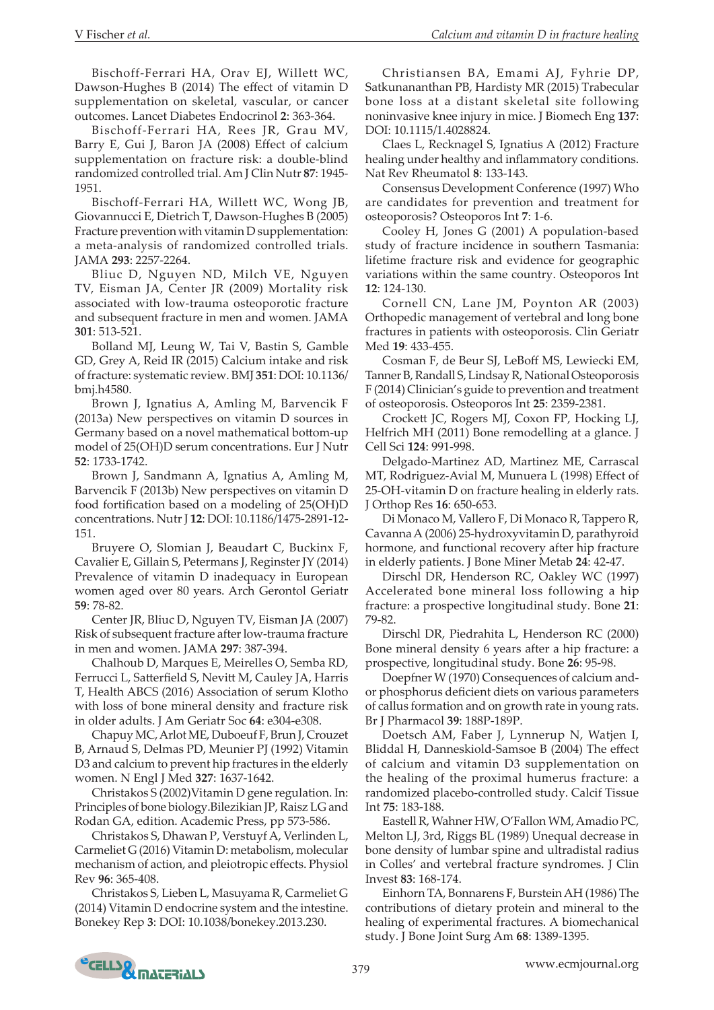Bischoff-Ferrari HA, Orav EJ, Willett WC, Dawson-Hughes B (2014) The effect of vitamin D supplementation on skeletal, vascular, or cancer outcomes. Lancet Diabetes Endocrinol **2**: 363-364.

Bischoff-Ferrari HA, Rees JR, Grau MV, Barry E, Gui J, Baron JA (2008) Effect of calcium supplementation on fracture risk: a double-blind randomized controlled trial. Am J Clin Nutr **87**: 1945- 1951.

Bischoff-Ferrari HA, Willett WC, Wong JB, Giovannucci E, Dietrich T, Dawson-Hughes B (2005) Fracture prevention with vitamin D supplementation: a meta-analysis of randomized controlled trials. JAMA **293**: 2257-2264.

Bliuc D, Nguyen ND, Milch VE, Nguyen TV, Eisman JA, Center JR (2009) Mortality risk associated with low-trauma osteoporotic fracture and subsequent fracture in men and women. JAMA **301**: 513-521.

Bolland MJ, Leung W, Tai V, Bastin S, Gamble GD, Grey A, Reid IR (2015) Calcium intake and risk of fracture: systematic review. BMJ **351**: DOI: 10.1136/ bmj.h4580.

Brown J, Ignatius A, Amling M, Barvencik F (2013a) New perspectives on vitamin D sources in Germany based on a novel mathematical bottom-up model of 25(OH)D serum concentrations. Eur J Nutr **52**: 1733-1742.

Brown J, Sandmann A, Ignatius A, Amling M, Barvencik F (2013b) New perspectives on vitamin D food fortification based on a modeling of 25(OH)D concentrations. Nutr J **12**: DOI: 10.1186/1475-2891-12- 151.

Bruyere O, Slomian J, Beaudart C, Buckinx F, Cavalier E, Gillain S, Petermans J, Reginster JY (2014) Prevalence of vitamin D inadequacy in European women aged over 80 years. Arch Gerontol Geriatr **59**: 78-82.

Center JR, Bliuc D, Nguyen TV, Eisman JA (2007) Risk of subsequent fracture after low-trauma fracture in men and women. JAMA **297**: 387-394.

Chalhoub D, Marques E, Meirelles O, Semba RD, Ferrucci L, Satterfield S, Nevitt M, Cauley JA, Harris T, Health ABCS (2016) Association of serum Klotho with loss of bone mineral density and fracture risk in older adults. J Am Geriatr Soc **64**: e304-e308.

Chapuy MC, Arlot ME, Duboeuf F, Brun J, Crouzet B, Arnaud S, Delmas PD, Meunier PJ (1992) Vitamin D3 and calcium to prevent hip fractures in the elderly women. N Engl J Med **327**: 1637-1642.

Christakos S (2002)Vitamin D gene regulation. In: Principles of bone biology.Bilezikian JP, Raisz LG and Rodan GA, edition. Academic Press, pp 573-586.

Christakos S, Dhawan P, Verstuyf A, Verlinden L, Carmeliet G (2016) Vitamin D: metabolism, molecular mechanism of action, and pleiotropic effects. Physiol Rev **96**: 365-408.

Christakos S, Lieben L, Masuyama R, Carmeliet G (2014) Vitamin D endocrine system and the intestine. Bonekey Rep **3**: DOI: 10.1038/bonekey.2013.230.

Christiansen BA, Emami AJ, Fyhrie DP, Satkunananthan PB, Hardisty MR (2015) Trabecular bone loss at a distant skeletal site following noninvasive knee injury in mice. J Biomech Eng **137**: DOI: 10.1115/1.4028824.

Claes L, Recknagel S, Ignatius A (2012) Fracture healing under healthy and inflammatory conditions. Nat Rev Rheumatol **8**: 133-143.

Consensus Development Conference (1997) Who are candidates for prevention and treatment for osteoporosis? Osteoporos Int **7**: 1-6.

Cooley H, Jones G (2001) A population-based study of fracture incidence in southern Tasmania: lifetime fracture risk and evidence for geographic variations within the same country. Osteoporos Int **12**: 124-130.

Cornell CN, Lane JM, Poynton AR (2003) Orthopedic management of vertebral and long bone fractures in patients with osteoporosis. Clin Geriatr Med **19**: 433-455.

Cosman F, de Beur SJ, LeBoff MS, Lewiecki EM, Tanner B, Randall S, Lindsay R, National Osteoporosis F (2014) Clinician's guide to prevention and treatment of osteoporosis. Osteoporos Int **25**: 2359-2381.

Crockett JC, Rogers MJ, Coxon FP, Hocking LJ, Helfrich MH (2011) Bone remodelling at a glance. J Cell Sci **124**: 991-998.

Delgado-Martinez AD, Martinez ME, Carrascal MT, Rodriguez-Avial M, Munuera L (1998) Effect of 25-OH-vitamin D on fracture healing in elderly rats. J Orthop Res **16**: 650-653.

Di Monaco M, Vallero F, Di Monaco R, Tappero R, Cavanna A (2006) 25-hydroxyvitamin D, parathyroid hormone, and functional recovery after hip fracture in elderly patients. J Bone Miner Metab **24**: 42-47.

Dirschl DR, Henderson RC, Oakley WC (1997) Accelerated bone mineral loss following a hip fracture: a prospective longitudinal study. Bone **21**: 79-82.

Dirschl DR, Piedrahita L, Henderson RC (2000) Bone mineral density 6 years after a hip fracture: a prospective, longitudinal study. Bone **26**: 95-98.

Doepfner W (1970) Consequences of calcium andor phosphorus deficient diets on various parameters of callus formation and on growth rate in young rats. Br J Pharmacol **39**: 188P-189P.

Doetsch AM, Faber J, Lynnerup N, Watjen I, Bliddal H, Danneskiold-Samsoe B (2004) The effect of calcium and vitamin D3 supplementation on the healing of the proximal humerus fracture: a randomized placebo-controlled study. Calcif Tissue Int **75**: 183-188.

Eastell R, Wahner HW, O'Fallon WM, Amadio PC, Melton LJ, 3rd, Riggs BL (1989) Unequal decrease in bone density of lumbar spine and ultradistal radius in Colles' and vertebral fracture syndromes. J Clin Invest **83**: 168-174.

Einhorn TA, Bonnarens F, Burstein AH (1986) The contributions of dietary protein and mineral to the healing of experimental fractures. A biomechanical study. J Bone Joint Surg Am **68**: 1389-1395.

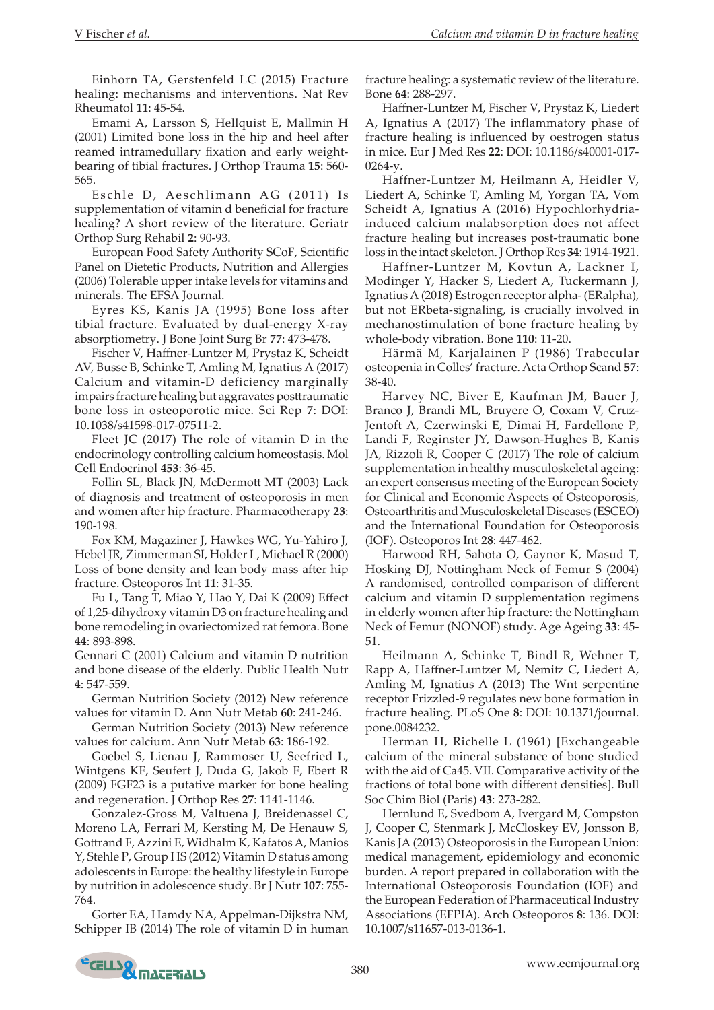Einhorn TA, Gerstenfeld LC (2015) Fracture healing: mechanisms and interventions. Nat Rev Rheumatol **11**: 45-54.

Emami A, Larsson S, Hellquist E, Mallmin H (2001) Limited bone loss in the hip and heel after reamed intramedullary fixation and early weightbearing of tibial fractures. J Orthop Trauma **15**: 560- 565.

Eschle D, Aeschlimann AG (2011) Is supplementation of vitamin d beneficial for fracture healing? A short review of the literature. Geriatr Orthop Surg Rehabil **2**: 90-93.

European Food Safety Authority SCoF, Scientific Panel on Dietetic Products, Nutrition and Allergies (2006) Tolerable upper intake levels for vitamins and minerals. The EFSA Journal.

Eyres KS, Kanis JA (1995) Bone loss after tibial fracture. Evaluated by dual-energy X-ray absorptiometry. J Bone Joint Surg Br **77**: 473-478.

Fischer V, Haffner-Luntzer M, Prystaz K, Scheidt AV, Busse B, Schinke T, Amling M, Ignatius A (2017) Calcium and vitamin-D deficiency marginally impairs fracture healing but aggravates posttraumatic bone loss in osteoporotic mice. Sci Rep **7**: DOI: 10.1038/s41598-017-07511-2.

Fleet JC (2017) The role of vitamin D in the endocrinology controlling calcium homeostasis. Mol Cell Endocrinol **453**: 36-45.

Follin SL, Black JN, McDermott MT (2003) Lack of diagnosis and treatment of osteoporosis in men and women after hip fracture. Pharmacotherapy **23**: 190-198.

Fox KM, Magaziner J, Hawkes WG, Yu-Yahiro J, Hebel JR, Zimmerman SI, Holder L, Michael R (2000) Loss of bone density and lean body mass after hip fracture. Osteoporos Int **11**: 31-35.

Fu L, Tang T, Miao Y, Hao Y, Dai K (2009) Effect of 1,25-dihydroxy vitamin D3 on fracture healing and bone remodeling in ovariectomized rat femora. Bone **44**: 893-898.

Gennari C (2001) Calcium and vitamin D nutrition and bone disease of the elderly. Public Health Nutr **4**: 547-559.

German Nutrition Society (2012) New reference values for vitamin D. Ann Nutr Metab **60**: 241-246.

German Nutrition Society (2013) New reference values for calcium. Ann Nutr Metab **63**: 186-192.

Goebel S, Lienau J, Rammoser U, Seefried L, Wintgens KF, Seufert J, Duda G, Jakob F, Ebert R (2009) FGF23 is a putative marker for bone healing and regeneration. J Orthop Res **27**: 1141-1146.

Gonzalez-Gross M, Valtuena J, Breidenassel C, Moreno LA, Ferrari M, Kersting M, De Henauw S, Gottrand F, Azzini E, Widhalm K, Kafatos A, Manios Y, Stehle P, Group HS (2012) Vitamin D status among adolescents in Europe: the healthy lifestyle in Europe by nutrition in adolescence study. Br J Nutr **107**: 755- 764.

Gorter EA, Hamdy NA, Appelman-Dijkstra NM, Schipper IB (2014) The role of vitamin D in human fracture healing: a systematic review of the literature. Bone **64**: 288-297.

Haffner-Luntzer M, Fischer V, Prystaz K, Liedert A, Ignatius A (2017) The inflammatory phase of fracture healing is influenced by oestrogen status in mice. Eur J Med Res **22**: DOI: 10.1186/s40001-017- 0264-y.

Haffner-Luntzer M, Heilmann A, Heidler V, Liedert A, Schinke T, Amling M, Yorgan TA, Vom Scheidt A, Ignatius A (2016) Hypochlorhydriainduced calcium malabsorption does not affect fracture healing but increases post-traumatic bone loss in the intact skeleton. J Orthop Res **34**: 1914-1921.

Haffner-Luntzer M, Kovtun A, Lackner I, Modinger Y, Hacker S, Liedert A, Tuckermann J, Ignatius A (2018) Estrogen receptor alpha- (ERalpha), but not ERbeta-signaling, is crucially involved in mechanostimulation of bone fracture healing by whole-body vibration. Bone **110**: 11-20.

Härmä M, Karjalainen P (1986) Trabecular osteopenia in Colles' fracture. Acta Orthop Scand **57**: 38-40.

Harvey NC, Biver E, Kaufman JM, Bauer J, Branco J, Brandi ML, Bruyere O, Coxam V, Cruz-Jentoft A, Czerwinski E, Dimai H, Fardellone P, Landi F, Reginster JY, Dawson-Hughes B, Kanis JA, Rizzoli R, Cooper C (2017) The role of calcium supplementation in healthy musculoskeletal ageing: an expert consensus meeting of the European Society for Clinical and Economic Aspects of Osteoporosis, Osteoarthritis and Musculoskeletal Diseases (ESCEO) and the International Foundation for Osteoporosis (IOF). Osteoporos Int **28**: 447-462.

Harwood RH, Sahota O, Gaynor K, Masud T, Hosking DJ, Nottingham Neck of Femur S (2004) A randomised, controlled comparison of different calcium and vitamin D supplementation regimens in elderly women after hip fracture: the Nottingham Neck of Femur (NONOF) study. Age Ageing **33**: 45- 51.

Heilmann A, Schinke T, Bindl R, Wehner T, Rapp A, Haffner-Luntzer M, Nemitz C, Liedert A, Amling M, Ignatius A (2013) The Wnt serpentine receptor Frizzled-9 regulates new bone formation in fracture healing. PLoS One **8**: DOI: 10.1371/journal. pone.0084232.

Herman H, Richelle L (1961) [Exchangeable calcium of the mineral substance of bone studied with the aid of Ca45. VII. Comparative activity of the fractions of total bone with different densities]. Bull Soc Chim Biol (Paris) **43**: 273-282.

Hernlund E, Svedbom A, Ivergard M, Compston J, Cooper C, Stenmark J, McCloskey EV, Jonsson B, Kanis JA (2013) Osteoporosis in the European Union: medical management, epidemiology and economic burden. A report prepared in collaboration with the International Osteoporosis Foundation (IOF) and the European Federation of Pharmaceutical Industry Associations (EFPIA). Arch Osteoporos **8**: 136. DOI: 10.1007/s11657-013-0136-1.

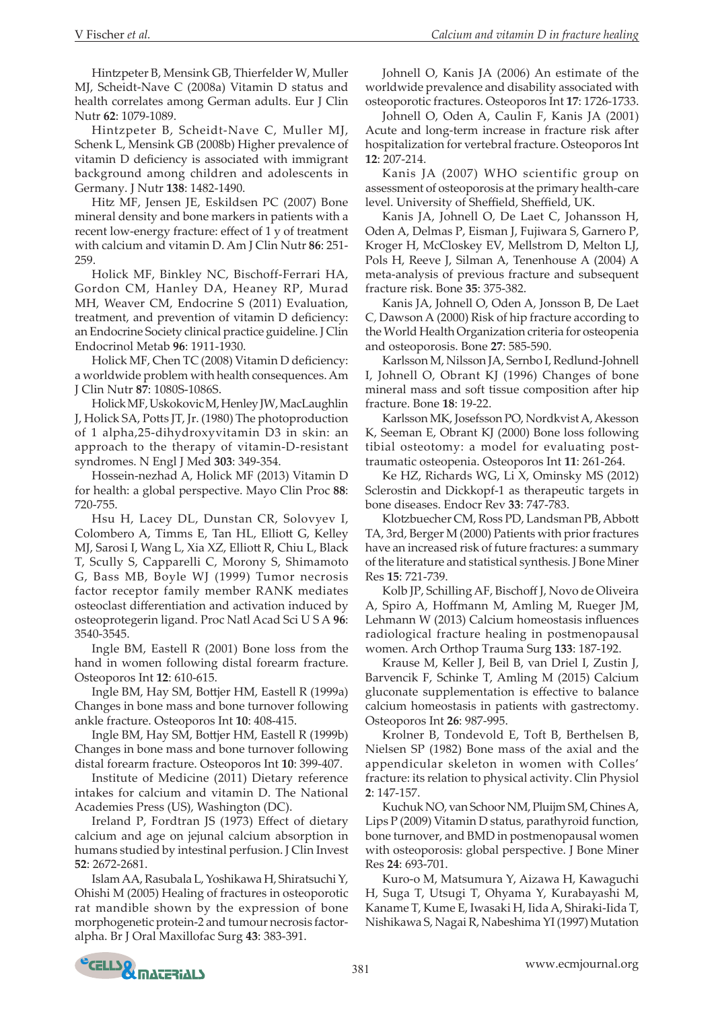Hintzpeter B, Mensink GB, Thierfelder W, Muller MJ, Scheidt-Nave C (2008a) Vitamin D status and health correlates among German adults. Eur J Clin Nutr **62**: 1079-1089.

Hintzpeter B, Scheidt-Nave C, Muller MJ, Schenk L, Mensink GB (2008b) Higher prevalence of vitamin D deficiency is associated with immigrant background among children and adolescents in Germany. J Nutr **138**: 1482-1490.

Hitz MF, Jensen JE, Eskildsen PC (2007) Bone mineral density and bone markers in patients with a recent low-energy fracture: effect of 1 y of treatment with calcium and vitamin D. Am J Clin Nutr **86**: 251- 259.

Holick MF, Binkley NC, Bischoff-Ferrari HA, Gordon CM, Hanley DA, Heaney RP, Murad MH, Weaver CM, Endocrine S (2011) Evaluation, treatment, and prevention of vitamin D deficiency: an Endocrine Society clinical practice guideline. J Clin Endocrinol Metab **96**: 1911-1930.

Holick MF, Chen TC (2008) Vitamin D deficiency: a worldwide problem with health consequences. Am J Clin Nutr **87**: 1080S-1086S.

Holick MF, Uskokovic M, Henley JW, MacLaughlin J, Holick SA, Potts JT, Jr. (1980) The photoproduction of 1 alpha,25-dihydroxyvitamin D3 in skin: an approach to the therapy of vitamin-D-resistant syndromes. N Engl J Med **303**: 349-354.

Hossein-nezhad A, Holick MF (2013) Vitamin D for health: a global perspective. Mayo Clin Proc **88**: 720-755.

Hsu H, Lacey DL, Dunstan CR, Solovyev I, Colombero A, Timms E, Tan HL, Elliott G, Kelley MJ, Sarosi I, Wang L, Xia XZ, Elliott R, Chiu L, Black T, Scully S, Capparelli C, Morony S, Shimamoto G, Bass MB, Boyle WJ (1999) Tumor necrosis factor receptor family member RANK mediates osteoclast differentiation and activation induced by osteoprotegerin ligand. Proc Natl Acad Sci U S A **96**: 3540-3545.

Ingle BM, Eastell R (2001) Bone loss from the hand in women following distal forearm fracture. Osteoporos Int **12**: 610-615.

Ingle BM, Hay SM, Bottjer HM, Eastell R (1999a) Changes in bone mass and bone turnover following ankle fracture. Osteoporos Int **10**: 408-415.

Ingle BM, Hay SM, Bottjer HM, Eastell R (1999b) Changes in bone mass and bone turnover following distal forearm fracture. Osteoporos Int **10**: 399-407.

Institute of Medicine (2011) Dietary reference intakes for calcium and vitamin D. The National Academies Press (US), Washington (DC).

Ireland P, Fordtran JS (1973) Effect of dietary calcium and age on jejunal calcium absorption in humans studied by intestinal perfusion. J Clin Invest **52**: 2672-2681.

Islam AA, Rasubala L, Yoshikawa H, Shiratsuchi Y, Ohishi M (2005) Healing of fractures in osteoporotic rat mandible shown by the expression of bone morphogenetic protein-2 and tumour necrosis factoralpha. Br J Oral Maxillofac Surg **43**: 383-391.

Johnell O, Kanis JA (2006) An estimate of the worldwide prevalence and disability associated with osteoporotic fractures. Osteoporos Int **17**: 1726-1733.

Johnell O, Oden A, Caulin F, Kanis JA (2001) Acute and long-term increase in fracture risk after hospitalization for vertebral fracture. Osteoporos Int **12**: 207-214.

Kanis JA (2007) WHO scientific group on assessment of osteoporosis at the primary health-care level. University of Sheffield, Sheffield, UK.

Kanis JA, Johnell O, De Laet C, Johansson H, Oden A, Delmas P, Eisman J, Fujiwara S, Garnero P, Kroger H, McCloskey EV, Mellstrom D, Melton LJ, Pols H, Reeve J, Silman A, Tenenhouse A (2004) A meta-analysis of previous fracture and subsequent fracture risk. Bone **35**: 375-382.

Kanis JA, Johnell O, Oden A, Jonsson B, De Laet C, Dawson A (2000) Risk of hip fracture according to the World Health Organization criteria for osteopenia and osteoporosis. Bone **27**: 585-590.

Karlsson M, Nilsson JA, Sernbo I, Redlund-Johnell I, Johnell O, Obrant KJ (1996) Changes of bone mineral mass and soft tissue composition after hip fracture. Bone **18**: 19-22.

Karlsson MK, Josefsson PO, Nordkvist A, Akesson K, Seeman E, Obrant KJ (2000) Bone loss following tibial osteotomy: a model for evaluating posttraumatic osteopenia. Osteoporos Int **11**: 261-264.

Ke HZ, Richards WG, Li X, Ominsky MS (2012) Sclerostin and Dickkopf-1 as therapeutic targets in bone diseases. Endocr Rev **33**: 747-783.

Klotzbuecher CM, Ross PD, Landsman PB, Abbott TA, 3rd, Berger M (2000) Patients with prior fractures have an increased risk of future fractures: a summary of the literature and statistical synthesis. J Bone Miner Res **15**: 721-739.

Kolb JP, Schilling AF, Bischoff J, Novo de Oliveira A, Spiro A, Hoffmann M, Amling M, Rueger JM, Lehmann W (2013) Calcium homeostasis influences radiological fracture healing in postmenopausal women. Arch Orthop Trauma Surg **133**: 187-192.

Krause M, Keller J, Beil B, van Driel I, Zustin J, Barvencik F, Schinke T, Amling M (2015) Calcium gluconate supplementation is effective to balance calcium homeostasis in patients with gastrectomy. Osteoporos Int **26**: 987-995.

Krolner B, Tondevold E, Toft B, Berthelsen B, Nielsen SP (1982) Bone mass of the axial and the appendicular skeleton in women with Colles' fracture: its relation to physical activity. Clin Physiol **2**: 147-157.

Kuchuk NO, van Schoor NM, Pluijm SM, Chines A, Lips P (2009) Vitamin D status, parathyroid function, bone turnover, and BMD in postmenopausal women with osteoporosis: global perspective. J Bone Miner Res **24**: 693-701.

Kuro-o M, Matsumura Y, Aizawa H, Kawaguchi H, Suga T, Utsugi T, Ohyama Y, Kurabayashi M, Kaname T, Kume E, Iwasaki H, Iida A, Shiraki-Iida T, Nishikawa S, Nagai R, Nabeshima YI (1997) Mutation

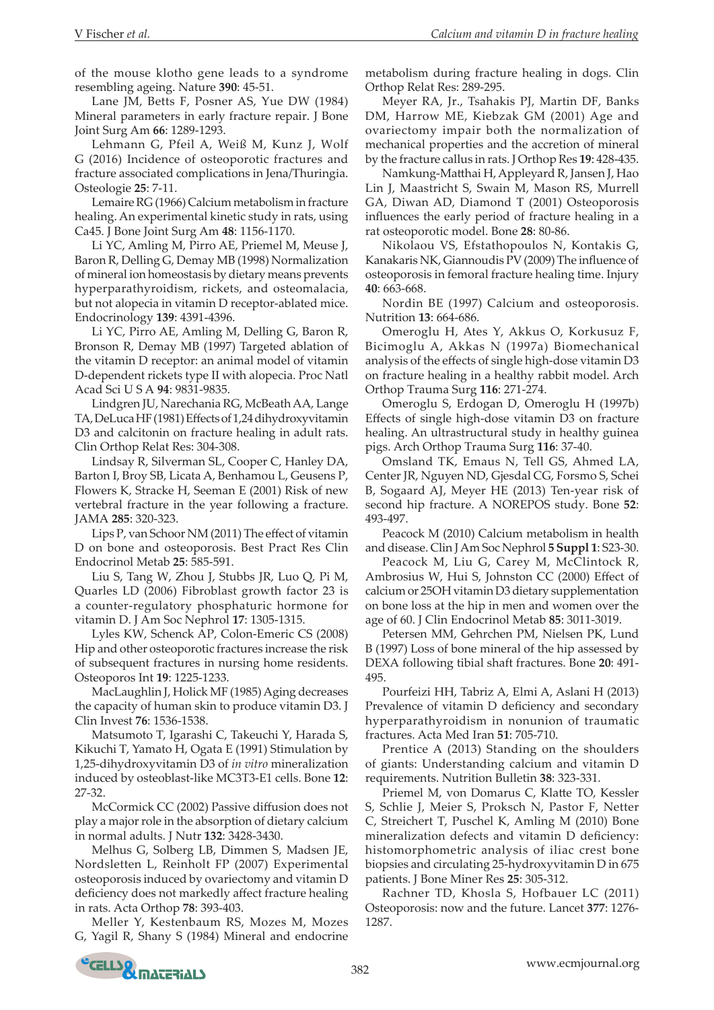of the mouse klotho gene leads to a syndrome resembling ageing. Nature **390**: 45-51.

Lane JM, Betts F, Posner AS, Yue DW (1984) Mineral parameters in early fracture repair. J Bone Joint Surg Am **66**: 1289-1293.

Lehmann G, Pfeil A, Weiß M, Kunz J, Wolf G (2016) Incidence of osteoporotic fractures and fracture associated complications in Jena/Thuringia. Osteologie **25**: 7-11.

Lemaire RG (1966) Calcium metabolism in fracture healing. An experimental kinetic study in rats, using Ca45. J Bone Joint Surg Am **48**: 1156-1170.

Li YC, Amling M, Pirro AE, Priemel M, Meuse J, Baron R, Delling G, Demay MB (1998) Normalization of mineral ion homeostasis by dietary means prevents hyperparathyroidism, rickets, and osteomalacia, but not alopecia in vitamin D receptor-ablated mice. Endocrinology **139**: 4391-4396.

Li YC, Pirro AE, Amling M, Delling G, Baron R, Bronson R, Demay MB (1997) Targeted ablation of the vitamin D receptor: an animal model of vitamin D-dependent rickets type II with alopecia. Proc Natl Acad Sci U S A **94**: 9831-9835.

Lindgren JU, Narechania RG, McBeath AA, Lange TA, DeLuca HF (1981) Effects of 1,24 dihydroxyvitamin D3 and calcitonin on fracture healing in adult rats. Clin Orthop Relat Res: 304-308.

Lindsay R, Silverman SL, Cooper C, Hanley DA, Barton I, Broy SB, Licata A, Benhamou L, Geusens P, Flowers K, Stracke H, Seeman E (2001) Risk of new vertebral fracture in the year following a fracture. JAMA **285**: 320-323.

Lips P, van Schoor NM (2011) The effect of vitamin D on bone and osteoporosis. Best Pract Res Clin Endocrinol Metab **25**: 585-591.

Liu S, Tang W, Zhou J, Stubbs JR, Luo Q, Pi M, Quarles LD (2006) Fibroblast growth factor 23 is a counter-regulatory phosphaturic hormone for vitamin D. J Am Soc Nephrol **17**: 1305-1315.

Lyles KW, Schenck AP, Colon-Emeric CS (2008) Hip and other osteoporotic fractures increase the risk of subsequent fractures in nursing home residents. Osteoporos Int **19**: 1225-1233.

MacLaughlin J, Holick MF (1985) Aging decreases the capacity of human skin to produce vitamin D3. J Clin Invest **76**: 1536-1538.

Matsumoto T, Igarashi C, Takeuchi Y, Harada S, Kikuchi T, Yamato H, Ogata E (1991) Stimulation by 1,25-dihydroxyvitamin D3 of *in vitro* mineralization induced by osteoblast-like MC3T3-E1 cells. Bone **12**: 27-32.

McCormick CC (2002) Passive diffusion does not play a major role in the absorption of dietary calcium in normal adults. J Nutr **132**: 3428-3430.

Melhus G, Solberg LB, Dimmen S, Madsen JE, Nordsletten L, Reinholt FP (2007) Experimental osteoporosis induced by ovariectomy and vitamin D deficiency does not markedly affect fracture healing in rats. Acta Orthop **78**: 393-403.

Meller Y, Kestenbaum RS, Mozes M, Mozes G, Yagil R, Shany S (1984) Mineral and endocrine metabolism during fracture healing in dogs. Clin Orthop Relat Res: 289-295.

Meyer RA, Jr., Tsahakis PJ, Martin DF, Banks DM, Harrow ME, Kiebzak GM (2001) Age and ovariectomy impair both the normalization of mechanical properties and the accretion of mineral by the fracture callus in rats. J Orthop Res **19**: 428-435.

Namkung-Matthai H, Appleyard R, Jansen J, Hao Lin J, Maastricht S, Swain M, Mason RS, Murrell GA, Diwan AD, Diamond T (2001) Osteoporosis influences the early period of fracture healing in a rat osteoporotic model. Bone **28**: 80-86.

Nikolaou VS, Efstathopoulos N, Kontakis G, Kanakaris NK, Giannoudis PV (2009) The influence of osteoporosis in femoral fracture healing time. Injury **40**: 663-668.

Nordin BE (1997) Calcium and osteoporosis. Nutrition **13**: 664-686.

Omeroglu H, Ates Y, Akkus O, Korkusuz F, Bicimoglu A, Akkas N (1997a) Biomechanical analysis of the effects of single high-dose vitamin D3 on fracture healing in a healthy rabbit model. Arch Orthop Trauma Surg **116**: 271-274.

Omeroglu S, Erdogan D, Omeroglu H (1997b) Effects of single high-dose vitamin D3 on fracture healing. An ultrastructural study in healthy guinea pigs. Arch Orthop Trauma Surg **116**: 37-40.

Omsland TK, Emaus N, Tell GS, Ahmed LA, Center JR, Nguyen ND, Gjesdal CG, Forsmo S, Schei B, Sogaard AJ, Meyer HE (2013) Ten-year risk of second hip fracture. A NOREPOS study. Bone **52**: 493-497.

Peacock M (2010) Calcium metabolism in health and disease. Clin J Am Soc Nephrol **5 Suppl 1**: S23-30.

Peacock M, Liu G, Carey M, McClintock R, Ambrosius W, Hui S, Johnston CC (2000) Effect of calcium or 25OH vitamin D3 dietary supplementation on bone loss at the hip in men and women over the age of 60. J Clin Endocrinol Metab **85**: 3011-3019.

Petersen MM, Gehrchen PM, Nielsen PK, Lund B (1997) Loss of bone mineral of the hip assessed by DEXA following tibial shaft fractures. Bone **20**: 491- 495.

Pourfeizi HH, Tabriz A, Elmi A, Aslani H (2013) Prevalence of vitamin D deficiency and secondary hyperparathyroidism in nonunion of traumatic fractures. Acta Med Iran **51**: 705-710.

Prentice A (2013) Standing on the shoulders of giants: Understanding calcium and vitamin D requirements. Nutrition Bulletin **38**: 323-331.

Priemel M, von Domarus C, Klatte TO, Kessler S, Schlie J, Meier S, Proksch N, Pastor F, Netter C, Streichert T, Puschel K, Amling M (2010) Bone mineralization defects and vitamin D deficiency: histomorphometric analysis of iliac crest bone biopsies and circulating 25-hydroxyvitamin D in 675 patients. J Bone Miner Res **25**: 305-312.

Rachner TD, Khosla S, Hofbauer LC (2011) Osteoporosis: now and the future. Lancet **377**: 1276- 1287.

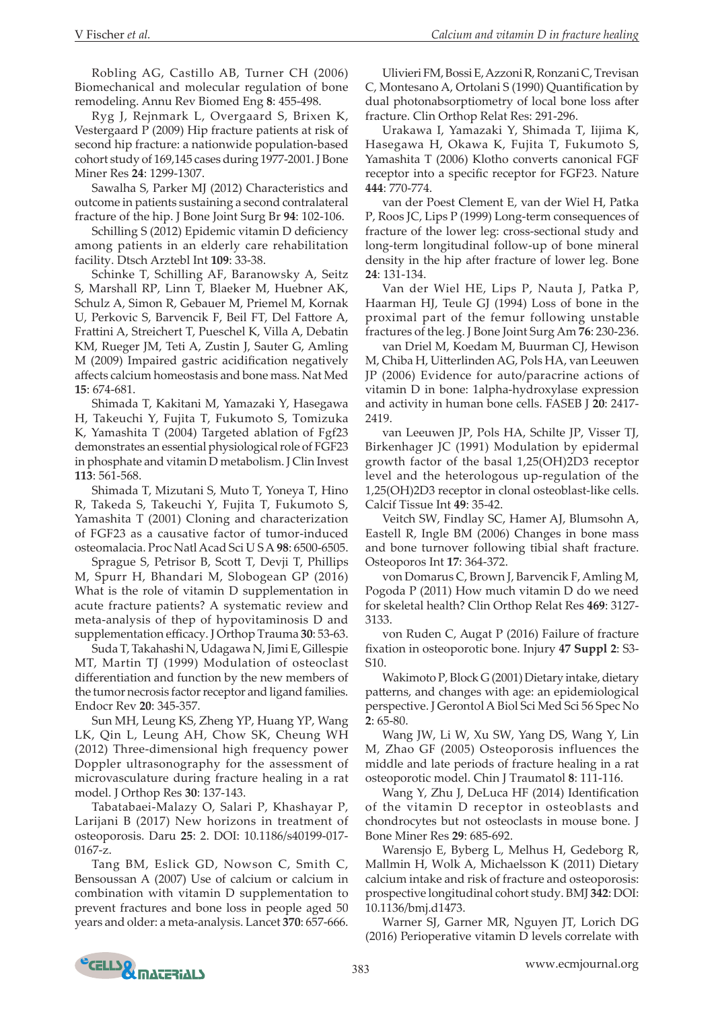Robling AG, Castillo AB, Turner CH (2006) Biomechanical and molecular regulation of bone remodeling. Annu Rev Biomed Eng **8**: 455-498.

Ryg J, Rejnmark L, Overgaard S, Brixen K, Vestergaard P (2009) Hip fracture patients at risk of second hip fracture: a nationwide population-based cohort study of 169,145 cases during 1977-2001. J Bone Miner Res **24**: 1299-1307.

Sawalha S, Parker MJ (2012) Characteristics and outcome in patients sustaining a second contralateral fracture of the hip. J Bone Joint Surg Br **94**: 102-106.

Schilling S (2012) Epidemic vitamin D deficiency among patients in an elderly care rehabilitation facility. Dtsch Arztebl Int **109**: 33-38.

Schinke T, Schilling AF, Baranowsky A, Seitz S, Marshall RP, Linn T, Blaeker M, Huebner AK, Schulz A, Simon R, Gebauer M, Priemel M, Kornak U, Perkovic S, Barvencik F, Beil FT, Del Fattore A, Frattini A, Streichert T, Pueschel K, Villa A, Debatin KM, Rueger JM, Teti A, Zustin J, Sauter G, Amling M (2009) Impaired gastric acidification negatively affects calcium homeostasis and bone mass. Nat Med **15**: 674-681.

Shimada T, Kakitani M, Yamazaki Y, Hasegawa H, Takeuchi Y, Fujita T, Fukumoto S, Tomizuka K, Yamashita T (2004) Targeted ablation of Fgf23 demonstrates an essential physiological role of FGF23 in phosphate and vitamin D metabolism. J Clin Invest **113**: 561-568.

Shimada T, Mizutani S, Muto T, Yoneya T, Hino R, Takeda S, Takeuchi Y, Fujita T, Fukumoto S, Yamashita T (2001) Cloning and characterization of FGF23 as a causative factor of tumor-induced osteomalacia. Proc Natl Acad Sci U S A **98**: 6500-6505.

Sprague S, Petrisor B, Scott T, Devji T, Phillips M, Spurr H, Bhandari M, Slobogean GP (2016) What is the role of vitamin D supplementation in acute fracture patients? A systematic review and meta-analysis of thep of hypovitaminosis D and supplementation efficacy. J Orthop Trauma **30**: 53-63.

Suda T, Takahashi N, Udagawa N, Jimi E, Gillespie MT, Martin TJ (1999) Modulation of osteoclast differentiation and function by the new members of the tumor necrosis factor receptor and ligand families. Endocr Rev **20**: 345-357.

Sun MH, Leung KS, Zheng YP, Huang YP, Wang LK, Qin L, Leung AH, Chow SK, Cheung WH (2012) Three-dimensional high frequency power Doppler ultrasonography for the assessment of microvasculature during fracture healing in a rat model. J Orthop Res **30**: 137-143.

Tabatabaei-Malazy O, Salari P, Khashayar P, Larijani B (2017) New horizons in treatment of osteoporosis. Daru **25**: 2. DOI: 10.1186/s40199-017- 0167-z.

Tang BM, Eslick GD, Nowson C, Smith C, Bensoussan A (2007) Use of calcium or calcium in combination with vitamin D supplementation to prevent fractures and bone loss in people aged 50 years and older: a meta-analysis. Lancet **370**: 657-666.

Ulivieri FM, Bossi E, Azzoni R, Ronzani C, Trevisan C, Montesano A, Ortolani S (1990) Quantification by dual photonabsorptiometry of local bone loss after fracture. Clin Orthop Relat Res: 291-296.

Urakawa I, Yamazaki Y, Shimada T, Iijima K, Hasegawa H, Okawa K, Fujita T, Fukumoto S, Yamashita T (2006) Klotho converts canonical FGF receptor into a specific receptor for FGF23. Nature **444**: 770-774.

van der Poest Clement E, van der Wiel H, Patka P, Roos JC, Lips P (1999) Long-term consequences of fracture of the lower leg: cross-sectional study and long-term longitudinal follow-up of bone mineral density in the hip after fracture of lower leg. Bone **24**: 131-134.

Van der Wiel HE, Lips P, Nauta J, Patka P, Haarman HJ, Teule GJ (1994) Loss of bone in the proximal part of the femur following unstable fractures of the leg. J Bone Joint Surg Am **76**: 230-236.

van Driel M, Koedam M, Buurman CJ, Hewison M, Chiba H, Uitterlinden AG, Pols HA, van Leeuwen JP (2006) Evidence for auto/paracrine actions of vitamin D in bone: 1alpha-hydroxylase expression and activity in human bone cells. FASEB J **20**: 2417- 2419.

van Leeuwen JP, Pols HA, Schilte JP, Visser TJ, Birkenhager JC (1991) Modulation by epidermal growth factor of the basal 1,25(OH)2D3 receptor level and the heterologous up-regulation of the 1,25(OH)2D3 receptor in clonal osteoblast-like cells. Calcif Tissue Int **49**: 35-42.

Veitch SW, Findlay SC, Hamer AJ, Blumsohn A, Eastell R, Ingle BM (2006) Changes in bone mass and bone turnover following tibial shaft fracture. Osteoporos Int **17**: 364-372.

von Domarus C, Brown J, Barvencik F, Amling M, Pogoda P (2011) How much vitamin D do we need for skeletal health? Clin Orthop Relat Res **469**: 3127- 3133.

von Ruden C, Augat P (2016) Failure of fracture fixation in osteoporotic bone. Injury **47 Suppl 2**: S3- S10.

Wakimoto P, Block G (2001) Dietary intake, dietary patterns, and changes with age: an epidemiological perspective. J Gerontol A Biol Sci Med Sci 56 Spec No **2**: 65-80.

Wang JW, Li W, Xu SW, Yang DS, Wang Y, Lin M, Zhao GF (2005) Osteoporosis influences the middle and late periods of fracture healing in a rat osteoporotic model. Chin J Traumatol **8**: 111-116.

Wang Y, Zhu J, DeLuca HF (2014) Identification of the vitamin D receptor in osteoblasts and chondrocytes but not osteoclasts in mouse bone. J Bone Miner Res **29**: 685-692.

Warensjo E, Byberg L, Melhus H, Gedeborg R, Mallmin H, Wolk A, Michaelsson K (2011) Dietary calcium intake and risk of fracture and osteoporosis: prospective longitudinal cohort study. BMJ **342**: DOI: 10.1136/bmj.d1473.

Warner SJ, Garner MR, Nguyen JT, Lorich DG (2016) Perioperative vitamin D levels correlate with

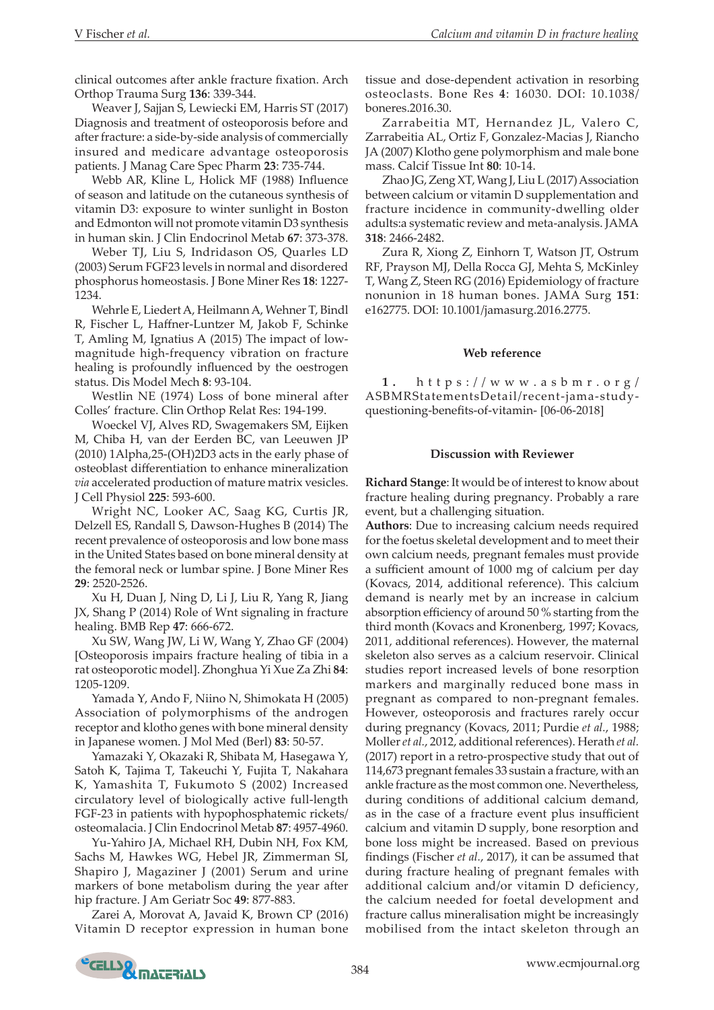clinical outcomes after ankle fracture fixation. Arch Orthop Trauma Surg **136**: 339-344.

Weaver J, Sajjan S, Lewiecki EM, Harris ST (2017) Diagnosis and treatment of osteoporosis before and after fracture: a side-by-side analysis of commercially insured and medicare advantage osteoporosis patients. J Manag Care Spec Pharm **23**: 735-744.

Webb AR, Kline L, Holick MF (1988) Influence of season and latitude on the cutaneous synthesis of vitamin D3: exposure to winter sunlight in Boston and Edmonton will not promote vitamin D3 synthesis in human skin. J Clin Endocrinol Metab **67**: 373-378.

Weber TJ, Liu S, Indridason OS, Quarles LD (2003) Serum FGF23 levels in normal and disordered phosphorus homeostasis. J Bone Miner Res **18**: 1227- 1234.

Wehrle E, Liedert A, Heilmann A, Wehner T, Bindl R, Fischer L, Haffner-Luntzer M, Jakob F, Schinke T, Amling M, Ignatius A (2015) The impact of lowmagnitude high-frequency vibration on fracture healing is profoundly influenced by the oestrogen status. Dis Model Mech **8**: 93-104.

Westlin NE (1974) Loss of bone mineral after Colles' fracture. Clin Orthop Relat Res: 194-199.

Woeckel VJ, Alves RD, Swagemakers SM, Eijken M, Chiba H, van der Eerden BC, van Leeuwen JP (2010) 1Alpha,25-(OH)2D3 acts in the early phase of osteoblast differentiation to enhance mineralization *via* accelerated production of mature matrix vesicles. J Cell Physiol **225**: 593-600.

Wright NC, Looker AC, Saag KG, Curtis JR, Delzell ES, Randall S, Dawson-Hughes B (2014) The recent prevalence of osteoporosis and low bone mass in the United States based on bone mineral density at the femoral neck or lumbar spine. J Bone Miner Res **29**: 2520-2526.

Xu H, Duan J, Ning D, Li J, Liu R, Yang R, Jiang JX, Shang P (2014) Role of Wnt signaling in fracture healing. BMB Rep **47**: 666-672.

Xu SW, Wang JW, Li W, Wang Y, Zhao GF (2004) [Osteoporosis impairs fracture healing of tibia in a rat osteoporotic model]. Zhonghua Yi Xue Za Zhi **84**: 1205-1209.

Yamada Y, Ando F, Niino N, Shimokata H (2005) Association of polymorphisms of the androgen receptor and klotho genes with bone mineral density in Japanese women. J Mol Med (Berl) **83**: 50-57.

Yamazaki Y, Okazaki R, Shibata M, Hasegawa Y, Satoh K, Tajima T, Takeuchi Y, Fujita T, Nakahara K, Yamashita T, Fukumoto S (2002) Increased circulatory level of biologically active full-length FGF-23 in patients with hypophosphatemic rickets/ osteomalacia. J Clin Endocrinol Metab **87**: 4957-4960.

Yu-Yahiro JA, Michael RH, Dubin NH, Fox KM, Sachs M, Hawkes WG, Hebel JR, Zimmerman SI, Shapiro J, Magaziner J (2001) Serum and urine markers of bone metabolism during the year after hip fracture. J Am Geriatr Soc **49**: 877-883.

Zarei A, Morovat A, Javaid K, Brown CP (2016) Vitamin D receptor expression in human bone

tissue and dose-dependent activation in resorbing osteoclasts. Bone Res **4**: 16030. DOI: 10.1038/ boneres.2016.30.

Zarrabeitia MT, Hernandez JL, Valero C, Zarrabeitia AL, Ortiz F, Gonzalez-Macias J, Riancho JA (2007) Klotho gene polymorphism and male bone mass. Calcif Tissue Int **80**: 10-14.

Zhao JG, Zeng XT, Wang J, Liu L (2017) Association between calcium or vitamin D supplementation and fracture incidence in community-dwelling older adults:a systematic review and meta-analysis. JAMA **318**: 2466-2482.

Zura R, Xiong Z, Einhorn T, Watson JT, Ostrum RF, Prayson MJ, Della Rocca GJ, Mehta S, McKinley T, Wang Z, Steen RG (2016) Epidemiology of fracture nonunion in 18 human bones. JAMA Surg **151**: e162775. DOI: 10.1001/jamasurg.2016.2775.

## **Web reference**

**1 .** https://www.asbmr.org/ ASBMRStatementsDetail/recent-jama-studyquestioning-benefits-of-vitamin- [06-06-2018]

#### **Discussion with Reviewer**

**Richard Stange**: It would be of interest to know about fracture healing during pregnancy. Probably a rare event, but a challenging situation.

**Authors**: Due to increasing calcium needs required for the foetus skeletal development and to meet their own calcium needs, pregnant females must provide a sufficient amount of 1000 mg of calcium per day (Kovacs, 2014, additional reference). This calcium demand is nearly met by an increase in calcium absorption efficiency of around 50 % starting from the third month (Kovacs and Kronenberg, 1997; Kovacs, 2011, additional references). However, the maternal skeleton also serves as a calcium reservoir. Clinical studies report increased levels of bone resorption markers and marginally reduced bone mass in pregnant as compared to non-pregnant females. However, osteoporosis and fractures rarely occur during pregnancy (Kovacs, 2011; Purdie *et al.*, 1988; Moller *et al.*, 2012, additional references). Herath *et al.* (2017) report in a retro-prospective study that out of 114,673 pregnant females 33 sustain a fracture, with an ankle fracture as the most common one. Nevertheless, during conditions of additional calcium demand, as in the case of a fracture event plus insufficient calcium and vitamin D supply, bone resorption and bone loss might be increased. Based on previous findings (Fischer *et al.*, 2017), it can be assumed that during fracture healing of pregnant females with additional calcium and/or vitamin D deficiency, the calcium needed for foetal development and fracture callus mineralisation might be increasingly mobilised from the intact skeleton through an